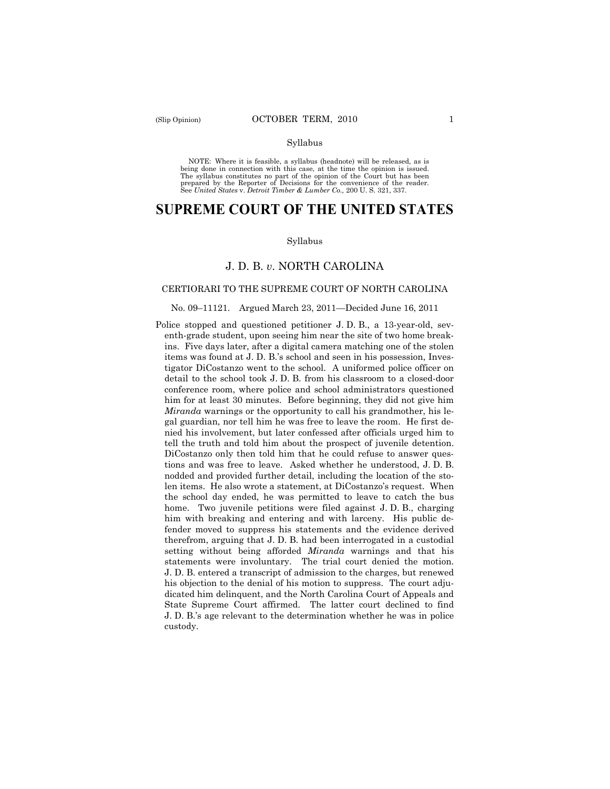#### Syllabus

NOTE: Where it is feasible, a syllabus (headnote) will be released, as is being done in connection with this case, at the time the opinion is issued. The syllabus constitutes no part of the opinion of the Court but has been<br>prepared by the Reporter of Decisions for the convenience of the reader.<br>See United States v. Detroit Timber & Lumber Co., 200 U. S. 321, 337.

# **SUPREME COURT OF THE UNITED STATES**

#### Syllabus

# J. D. B. *v*. NORTH CAROLINA

#### CERTIORARI TO THE SUPREME COURT OF NORTH CAROLINA

#### No. 09–11121. Argued March 23, 2011—Decided June 16, 2011

Police stopped and questioned petitioner J. D. B., a 13-year-old, seventh-grade student, upon seeing him near the site of two home breakins. Five days later, after a digital camera matching one of the stolen items was found at J. D. B.'s school and seen in his possession, Investigator DiCostanzo went to the school. A uniformed police officer on detail to the school took J. D. B. from his classroom to a closed-door conference room, where police and school administrators questioned him for at least 30 minutes. Before beginning, they did not give him *Miranda* warnings or the opportunity to call his grandmother, his legal guardian, nor tell him he was free to leave the room. He first denied his involvement, but later confessed after officials urged him to tell the truth and told him about the prospect of juvenile detention. DiCostanzo only then told him that he could refuse to answer questions and was free to leave. Asked whether he understood, J. D. B. nodded and provided further detail, including the location of the stolen items. He also wrote a statement, at DiCostanzo's request. When the school day ended, he was permitted to leave to catch the bus home. Two juvenile petitions were filed against J. D. B., charging him with breaking and entering and with larceny. His public defender moved to suppress his statements and the evidence derived therefrom, arguing that J. D. B. had been interrogated in a custodial setting without being afforded *Miranda* warnings and that his statements were involuntary. The trial court denied the motion. J. D. B. entered a transcript of admission to the charges, but renewed his objection to the denial of his motion to suppress. The court adjudicated him delinquent, and the North Carolina Court of Appeals and State Supreme Court affirmed. The latter court declined to find J. D. B.'s age relevant to the determination whether he was in police custody.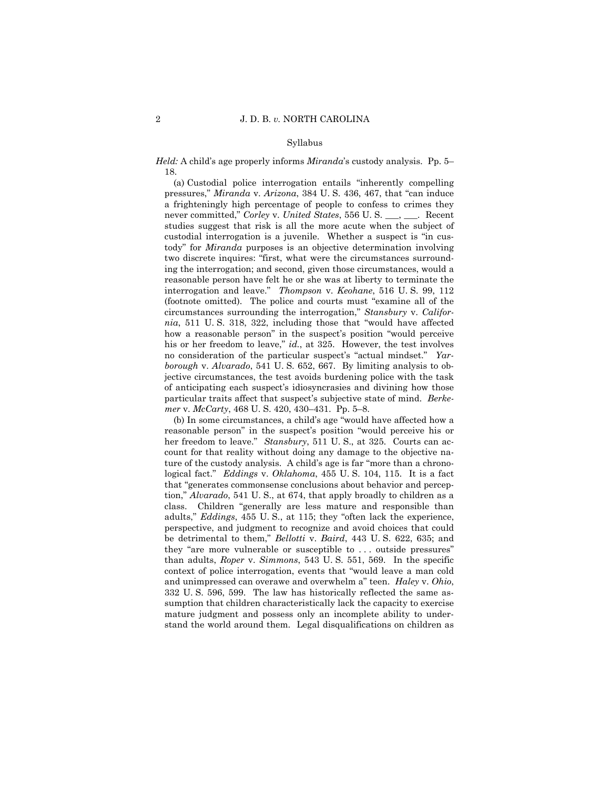#### Syllabus

*Held:* A child's age properly informs *Miranda*'s custody analysis. Pp. 5– 18.

(a) Custodial police interrogation entails "inherently compelling pressures," *Miranda* v. *Arizona*, 384 U. S. 436, 467, that "can induce a frighteningly high percentage of people to confess to crimes they never committed," *Corley* v. *United States*, 556 U. S. \_\_\_, \_\_\_. Recent studies suggest that risk is all the more acute when the subject of custodial interrogation is a juvenile. Whether a suspect is "in custody" for *Miranda* purposes is an objective determination involving two discrete inquires: "first, what were the circumstances surrounding the interrogation; and second, given those circumstances, would a reasonable person have felt he or she was at liberty to terminate the interrogation and leave." *Thompson* v. *Keohane*, 516 U. S. 99, 112 (footnote omitted). The police and courts must "examine all of the circumstances surrounding the interrogation," *Stansbury* v. *California*, 511 U. S. 318, 322, including those that "would have affected how a reasonable person" in the suspect's position "would perceive his or her freedom to leave," *id.*, at 325. However, the test involves no consideration of the particular suspect's "actual mindset." *Yarborough* v. *Alvarado*, 541 U. S. 652, 667. By limiting analysis to objective circumstances, the test avoids burdening police with the task of anticipating each suspect's idiosyncrasies and divining how those particular traits affect that suspect's subjective state of mind. *Berkemer* v. *McCarty*, 468 U. S. 420, 430–431. Pp. 5–8.

(b) In some circumstances, a child's age "would have affected how a reasonable person" in the suspect's position "would perceive his or her freedom to leave." *Stansbury*, 511 U. S., at 325. Courts can account for that reality without doing any damage to the objective nature of the custody analysis. A child's age is far "more than a chronological fact." *Eddings* v. *Oklahoma*, 455 U. S. 104, 115. It is a fact that "generates commonsense conclusions about behavior and perception," *Alvarado*, 541 U. S., at 674, that apply broadly to children as a class. Children "generally are less mature and responsible than adults," *Eddings*, 455 U. S., at 115; they "often lack the experience, perspective, and judgment to recognize and avoid choices that could be detrimental to them," *Bellotti* v. *Baird*, 443 U. S. 622, 635; and they "are more vulnerable or susceptible to . . . outside pressures" than adults, *Roper* v. *Simmons*, 543 U. S. 551, 569. In the specific context of police interrogation, events that "would leave a man cold and unimpressed can overawe and overwhelm a" teen. *Haley* v. *Ohio*, 332 U. S. 596, 599. The law has historically reflected the same assumption that children characteristically lack the capacity to exercise mature judgment and possess only an incomplete ability to understand the world around them. Legal disqualifications on children as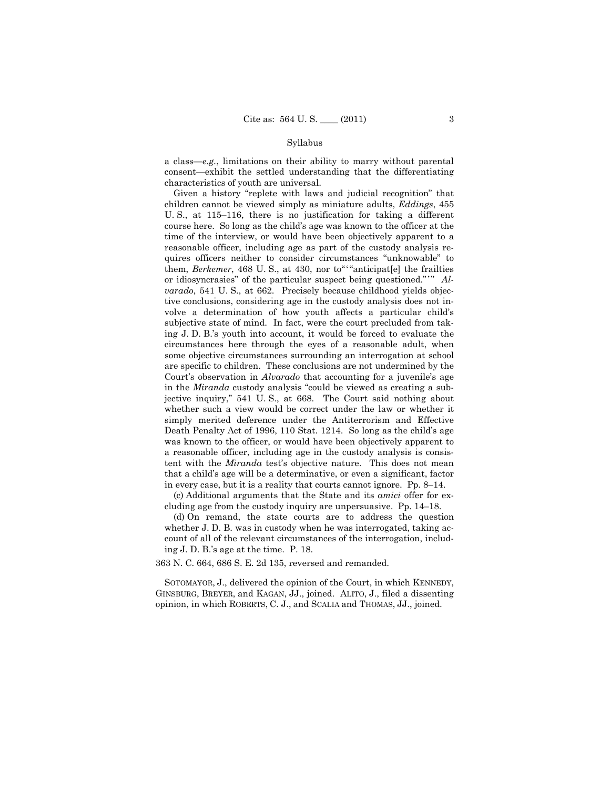#### Syllabus

a class—*e.g.*, limitations on their ability to marry without parental consent—exhibit the settled understanding that the differentiating characteristics of youth are universal.

Given a history "replete with laws and judicial recognition" that children cannot be viewed simply as miniature adults, *Eddings*, 455 U. S., at 115–116, there is no justification for taking a different course here. So long as the child's age was known to the officer at the time of the interview, or would have been objectively apparent to a reasonable officer, including age as part of the custody analysis requires officers neither to consider circumstances "unknowable" to them, *Berkemer*, 468 U.S., at 430, nor to ""anticipat[e] the frailties or idiosyncrasies" of the particular suspect being questioned."" Al*varado*, 541 U. S., at 662. Precisely because childhood yields objective conclusions, considering age in the custody analysis does not involve a determination of how youth affects a particular child's subjective state of mind. In fact, were the court precluded from taking J. D. B.'s youth into account, it would be forced to evaluate the circumstances here through the eyes of a reasonable adult, when some objective circumstances surrounding an interrogation at school are specific to children. These conclusions are not undermined by the Court's observation in *Alvarado* that accounting for a juvenile's age in the *Miranda* custody analysis "could be viewed as creating a subjective inquiry," 541 U. S., at 668. The Court said nothing about whether such a view would be correct under the law or whether it simply merited deference under the Antiterrorism and Effective Death Penalty Act of 1996, 110 Stat. 1214. So long as the child's age was known to the officer, or would have been objectively apparent to a reasonable officer, including age in the custody analysis is consistent with the *Miranda* test's objective nature. This does not mean that a child's age will be a determinative, or even a significant, factor in every case, but it is a reality that courts cannot ignore. Pp. 8–14.

(c) Additional arguments that the State and its *amici* offer for excluding age from the custody inquiry are unpersuasive. Pp. 14–18.

(d) On remand, the state courts are to address the question whether J. D. B. was in custody when he was interrogated, taking account of all of the relevant circumstances of the interrogation, including J. D. B.'s age at the time. P. 18.

363 N. C. 664, 686 S. E. 2d 135, reversed and remanded.

SOTOMAYOR, J., delivered the opinion of the Court, in which KENNEDY, GINSBURG, BREYER, and KAGAN, JJ., joined. ALITO, J., filed a dissenting opinion, in which ROBERTS, C. J., and SCALIA and THOMAS, JJ., joined.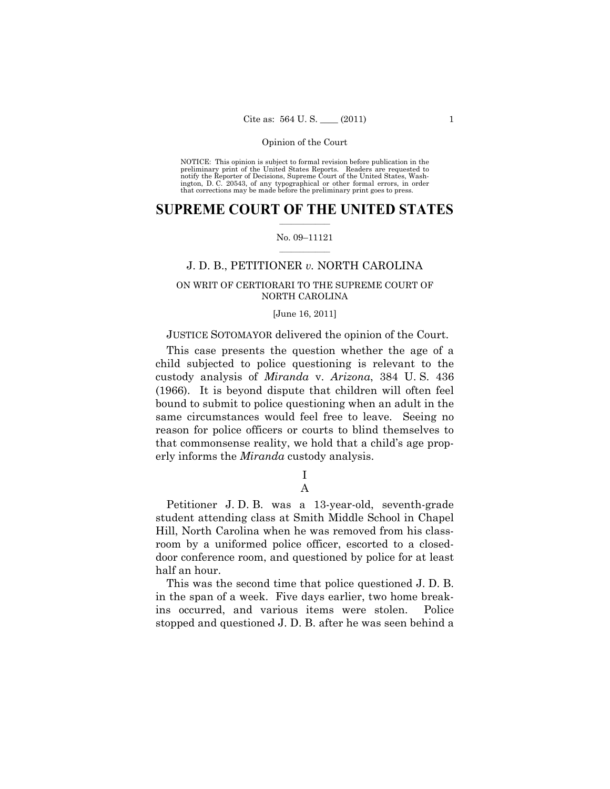NOTICE: This opinion is subject to formal revision before publication in the preliminary print of the United States Reports. Readers are requested to notify the Reporter of Decisions, Supreme Court of the United States, Washington, D. C. 20543, of any typographical or other formal errors, in order that corrections may be made before the preliminary print goes to press.

# $\frac{1}{2}$  ,  $\frac{1}{2}$  ,  $\frac{1}{2}$  ,  $\frac{1}{2}$  ,  $\frac{1}{2}$  ,  $\frac{1}{2}$  ,  $\frac{1}{2}$ **SUPREME COURT OF THE UNITED STATES**

# $\frac{1}{2}$  ,  $\frac{1}{2}$  ,  $\frac{1}{2}$  ,  $\frac{1}{2}$  ,  $\frac{1}{2}$  ,  $\frac{1}{2}$ No. 09–11121

# J. D. B., PETITIONER *v.* NORTH CAROLINA

# ON WRIT OF CERTIORARI TO THE SUPREME COURT OF NORTH CAROLINA

# [June 16, 2011]

# JUSTICE SOTOMAYOR delivered the opinion of the Court.

This case presents the question whether the age of a child subjected to police questioning is relevant to the custody analysis of *Miranda* v. *Arizona*, 384 U. S. 436 (1966). It is beyond dispute that children will often feel bound to submit to police questioning when an adult in the same circumstances would feel free to leave. Seeing no reason for police officers or courts to blind themselves to that commonsense reality, we hold that a child's age properly informs the *Miranda* custody analysis.

# I A

Petitioner J. D. B. was a 13-year-old, seventh-grade student attending class at Smith Middle School in Chapel Hill, North Carolina when he was removed from his classroom by a uniformed police officer, escorted to a closeddoor conference room, and questioned by police for at least half an hour.

This was the second time that police questioned J. D. B. in the span of a week. Five days earlier, two home breakins occurred, and various items were stolen. Police stopped and questioned J. D. B. after he was seen behind a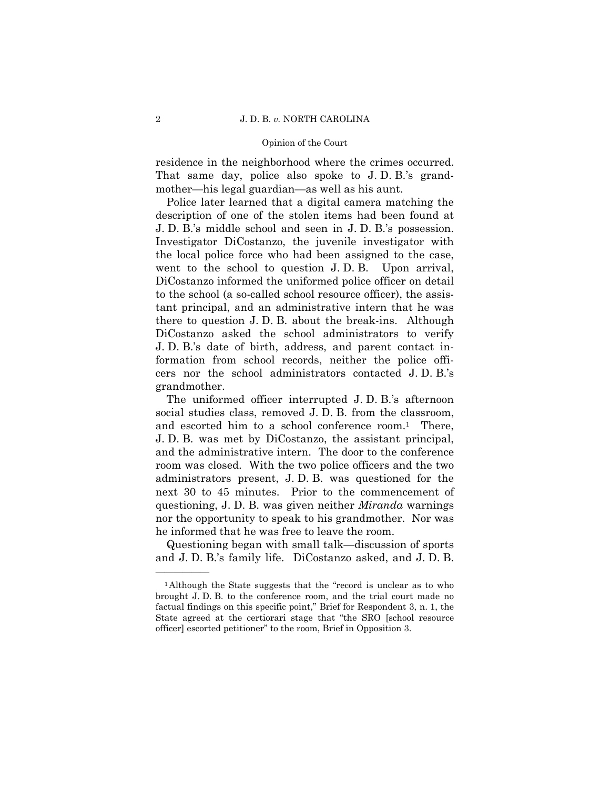residence in the neighborhood where the crimes occurred. That same day, police also spoke to J. D. B.'s grandmother—his legal guardian—as well as his aunt.

Police later learned that a digital camera matching the description of one of the stolen items had been found at J. D. B.'s middle school and seen in J. D. B.'s possession. Investigator DiCostanzo, the juvenile investigator with the local police force who had been assigned to the case, went to the school to question J. D. B. Upon arrival, DiCostanzo informed the uniformed police officer on detail to the school (a so-called school resource officer), the assistant principal, and an administrative intern that he was there to question J. D. B. about the break-ins. Although DiCostanzo asked the school administrators to verify J. D. B.'s date of birth, address, and parent contact information from school records, neither the police officers nor the school administrators contacted J. D. B.'s grandmother.

The uniformed officer interrupted J. D. B.'s afternoon social studies class, removed J. D. B. from the classroom, and escorted him to a school conference room.1 There, J. D. B. was met by DiCostanzo, the assistant principal, and the administrative intern. The door to the conference room was closed. With the two police officers and the two administrators present, J. D. B. was questioned for the next 30 to 45 minutes. Prior to the commencement of questioning, J. D. B. was given neither *Miranda* warnings nor the opportunity to speak to his grandmother. Nor was he informed that he was free to leave the room.

Questioning began with small talk—discussion of sports and J. D. B.'s family life. DiCostanzo asked, and J. D. B.

<sup>1</sup>Although the State suggests that the "record is unclear as to who brought J. D. B. to the conference room, and the trial court made no factual findings on this specific point," Brief for Respondent 3, n. 1, the State agreed at the certiorari stage that "the SRO [school resource officer] escorted petitioner" to the room, Brief in Opposition 3.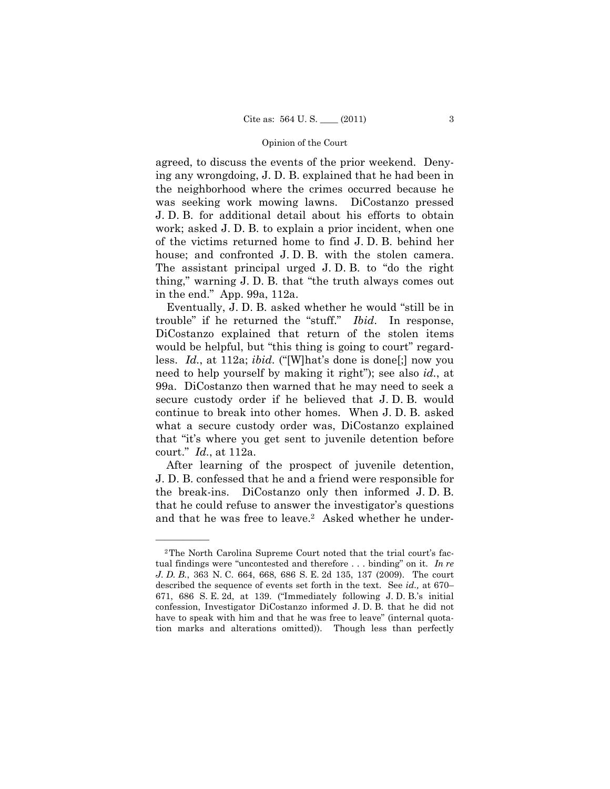agreed, to discuss the events of the prior weekend. Denying any wrongdoing, J. D. B. explained that he had been in the neighborhood where the crimes occurred because he was seeking work mowing lawns. DiCostanzo pressed J. D. B. for additional detail about his efforts to obtain work; asked J. D. B. to explain a prior incident, when one of the victims returned home to find J. D. B. behind her house; and confronted J.D.B. with the stolen camera. The assistant principal urged J. D. B. to "do the right thing," warning J. D. B. that "the truth always comes out in the end." App. 99a, 112a.

Eventually, J. D. B. asked whether he would "still be in trouble" if he returned the "stuff." *Ibid*. In response, DiCostanzo explained that return of the stolen items would be helpful, but "this thing is going to court" regardless. *Id.*, at 112a; *ibid.* ("[W]hat's done is done[;] now you need to help yourself by making it right"); see also *id.*, at 99a. DiCostanzo then warned that he may need to seek a secure custody order if he believed that J. D. B. would continue to break into other homes. When J. D. B. asked what a secure custody order was, DiCostanzo explained that "it's where you get sent to juvenile detention before court." *Id.*, at 112a.

After learning of the prospect of juvenile detention, J. D. B. confessed that he and a friend were responsible for the break-ins. DiCostanzo only then informed J. D. B. that he could refuse to answer the investigator's questions and that he was free to leave.<sup>2</sup> Asked whether he under-

<sup>2</sup>The North Carolina Supreme Court noted that the trial court's factual findings were "uncontested and therefore . . . binding" on it. *In re J. D. B.*, 363 N. C. 664, 668, 686 S. E. 2d 135, 137 (2009). The court described the sequence of events set forth in the text. See *id.,* at 670– 671, 686 S. E. 2d, at 139. ("Immediately following J. D. B.'s initial confession, Investigator DiCostanzo informed J. D. B. that he did not have to speak with him and that he was free to leave" (internal quotation marks and alterations omitted)). Though less than perfectly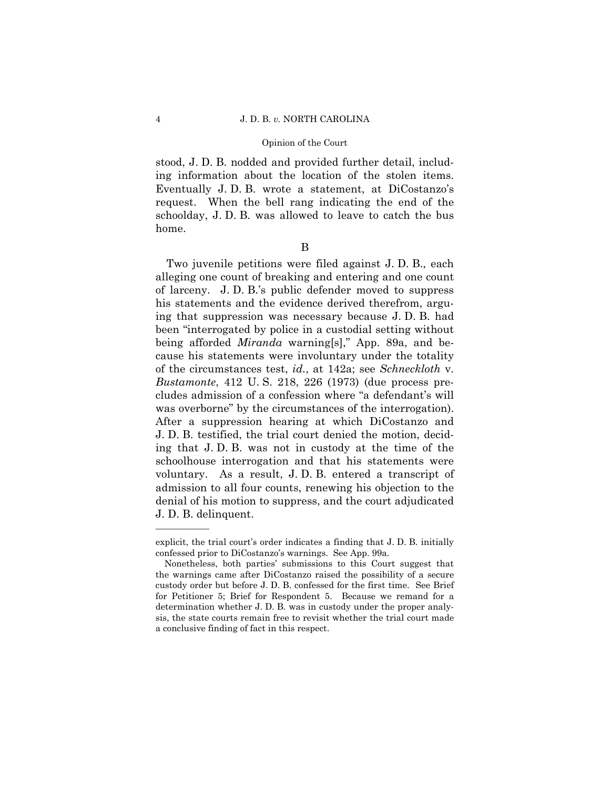stood, J. D. B. nodded and provided further detail, including information about the location of the stolen items. Eventually J. D. B. wrote a statement, at DiCostanzo's request. When the bell rang indicating the end of the schoolday, J. D. B. was allowed to leave to catch the bus home.

B

Two juvenile petitions were filed against J. D. B., each alleging one count of breaking and entering and one count of larceny. J. D. B.'s public defender moved to suppress his statements and the evidence derived therefrom, arguing that suppression was necessary because J. D. B. had been "interrogated by police in a custodial setting without being afforded *Miranda* warning[s]," App. 89a, and because his statements were involuntary under the totality of the circumstances test, *id.*, at 142a; see *Schneckloth* v. *Bustamonte*, 412 U. S. 218, 226 (1973) (due process precludes admission of a confession where "a defendant's will was overborne" by the circumstances of the interrogation). After a suppression hearing at which DiCostanzo and J. D. B. testified, the trial court denied the motion, deciding that J. D. B. was not in custody at the time of the schoolhouse interrogation and that his statements were voluntary. As a result, J. D. B. entered a transcript of admission to all four counts, renewing his objection to the denial of his motion to suppress, and the court adjudicated J. D. B. delinquent.

explicit, the trial court's order indicates a finding that J. D. B. initially confessed prior to DiCostanzo's warnings. See App. 99a.

Nonetheless, both parties' submissions to this Court suggest that the warnings came after DiCostanzo raised the possibility of a secure custody order but before J. D. B. confessed for the first time. See Brief for Petitioner 5; Brief for Respondent 5. Because we remand for a determination whether J. D. B. was in custody under the proper analysis, the state courts remain free to revisit whether the trial court made a conclusive finding of fact in this respect.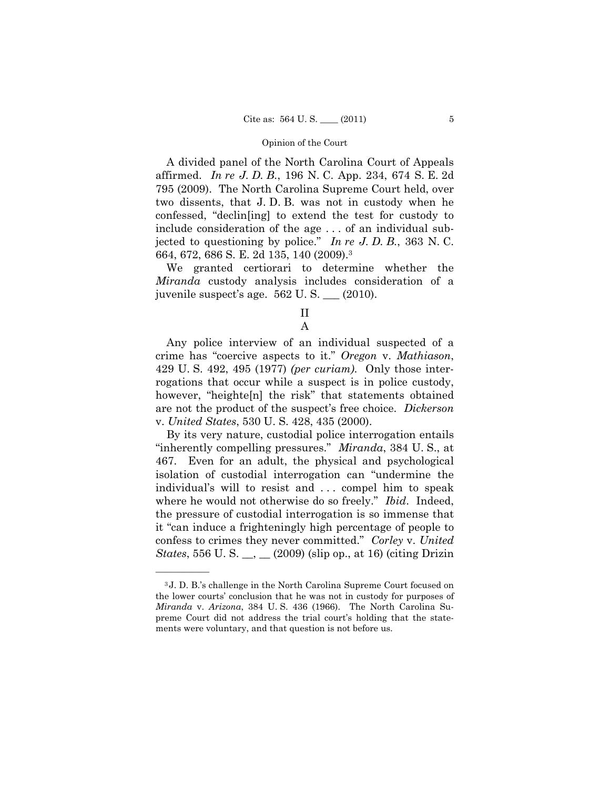A divided panel of the North Carolina Court of Appeals affirmed. *In re J. D. B.*, 196 N. C. App. 234, 674 S. E. 2d 795 (2009). The North Carolina Supreme Court held, over two dissents, that J. D. B. was not in custody when he confessed, "declin[ing] to extend the test for custody to include consideration of the age . . . of an individual subjected to questioning by police." *In re J. D. B.*, 363 N. C. 664, 672, 686 S. E. 2d 135, 140 (2009).3

We granted certiorari to determine whether the *Miranda* custody analysis includes consideration of a juvenile suspect's age. 562 U. S. \_\_\_ (2010).

A

Any police interview of an individual suspected of a crime has "coercive aspects to it." *Oregon* v. *Mathiason*, 429 U. S. 492, 495 (1977) *(per curiam)*. Only those interrogations that occur while a suspect is in police custody, however, "heighte<sup>[n]</sup> the risk" that statements obtained are not the product of the suspect's free choice. *Dickerson*  v. *United States*, 530 U. S. 428, 435 (2000).

By its very nature, custodial police interrogation entails "inherently compelling pressures." *Miranda*, 384 U. S., at 467. Even for an adult, the physical and psychological isolation of custodial interrogation can "undermine the individual's will to resist and . . . compel him to speak where he would not otherwise do so freely." *Ibid*. Indeed, the pressure of custodial interrogation is so immense that it "can induce a frighteningly high percentage of people to confess to crimes they never committed." *Corley* v. *United States*, 556 U. S. \_\_, \_\_ (2009) (slip op., at 16) (citing Drizin

II

<sup>3</sup> J. D. B.'s challenge in the North Carolina Supreme Court focused on the lower courts' conclusion that he was not in custody for purposes of *Miranda* v. *Arizona*, 384 U. S. 436 (1966). The North Carolina Supreme Court did not address the trial court's holding that the statements were voluntary, and that question is not before us.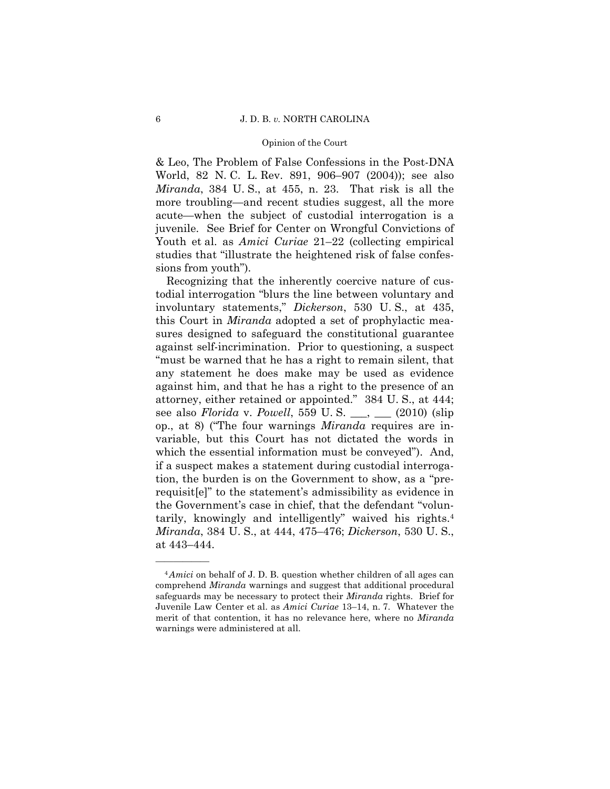& Leo, The Problem of False Confessions in the Post-DNA World, 82 N. C. L. Rev. 891, 906–907 (2004)); see also *Miranda*, 384 U. S., at 455, n. 23. That risk is all the more troubling—and recent studies suggest, all the more acute—when the subject of custodial interrogation is a juvenile. See Brief for Center on Wrongful Convictions of Youth et al. as *Amici Curiae* 21–22 (collecting empirical studies that "illustrate the heightened risk of false confessions from youth").

Recognizing that the inherently coercive nature of custodial interrogation "blurs the line between voluntary and involuntary statements," *Dickerson*, 530 U. S., at 435, this Court in *Miranda* adopted a set of prophylactic measures designed to safeguard the constitutional guarantee against self-incrimination. Prior to questioning, a suspect "must be warned that he has a right to remain silent, that any statement he does make may be used as evidence against him, and that he has a right to the presence of an attorney, either retained or appointed." 384 U. S., at 444; see also *Florida* v. *Powell*, 559 U. S. \_\_\_, \_\_\_ (2010) (slip op., at 8) ("The four warnings *Miranda* requires are invariable, but this Court has not dictated the words in which the essential information must be conveyed"). And, if a suspect makes a statement during custodial interrogation, the burden is on the Government to show, as a "prerequisit[e]" to the statement's admissibility as evidence in the Government's case in chief, that the defendant "voluntarily, knowingly and intelligently" waived his rights.4 *Miranda*, 384 U. S., at 444, 475–476; *Dickerson*, 530 U. S., at 443–444.

<sup>4</sup>*Amici* on behalf of J. D. B. question whether children of all ages can comprehend *Miranda* warnings and suggest that additional procedural safeguards may be necessary to protect their *Miranda* rights. Brief for Juvenile Law Center et al. as *Amici Curiae* 13–14, n. 7. Whatever the merit of that contention, it has no relevance here, where no *Miranda*  warnings were administered at all.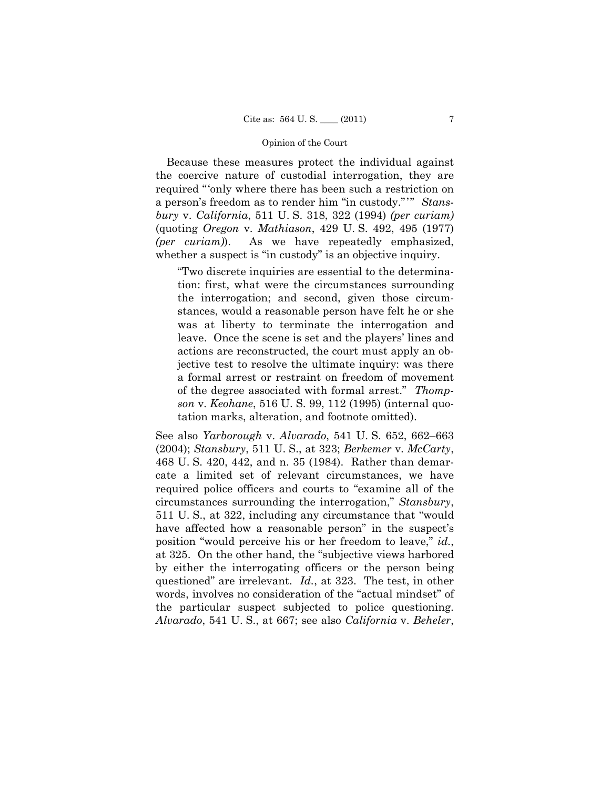Because these measures protect the individual against the coercive nature of custodial interrogation, they are required "'only where there has been such a restriction on a person's freedom as to render him "in custody."'" *Stansbury* v. *California*, 511 U. S. 318, 322 (1994) *(per curiam)*  (quoting *Oregon* v. *Mathiason*, 429 U. S. 492, 495 (1977) *(per curiam)*). As we have repeatedly emphasized, whether a suspect is "in custody" is an objective inquiry.

"Two discrete inquiries are essential to the determination: first, what were the circumstances surrounding the interrogation; and second, given those circumstances, would a reasonable person have felt he or she was at liberty to terminate the interrogation and leave. Once the scene is set and the players' lines and actions are reconstructed, the court must apply an objective test to resolve the ultimate inquiry: was there a formal arrest or restraint on freedom of movement of the degree associated with formal arrest." *Thompson* v. *Keohane*, 516 U. S. 99, 112 (1995) (internal quotation marks, alteration, and footnote omitted).

See also *Yarborough* v. *Alvarado*, 541 U. S. 652, 662–663 (2004); *Stansbury*, 511 U. S., at 323; *Berkemer* v. *McCarty*, 468 U. S. 420, 442, and n. 35 (1984). Rather than demarcate a limited set of relevant circumstances, we have required police officers and courts to "examine all of the circumstances surrounding the interrogation," *Stansbury*, 511 U. S., at 322, including any circumstance that "would have affected how a reasonable person" in the suspect's position "would perceive his or her freedom to leave," *id.*, at 325. On the other hand, the "subjective views harbored by either the interrogating officers or the person being questioned" are irrelevant. *Id.*, at 323. The test, in other words, involves no consideration of the "actual mindset" of the particular suspect subjected to police questioning. *Alvarado*, 541 U. S., at 667; see also *California* v. *Beheler*,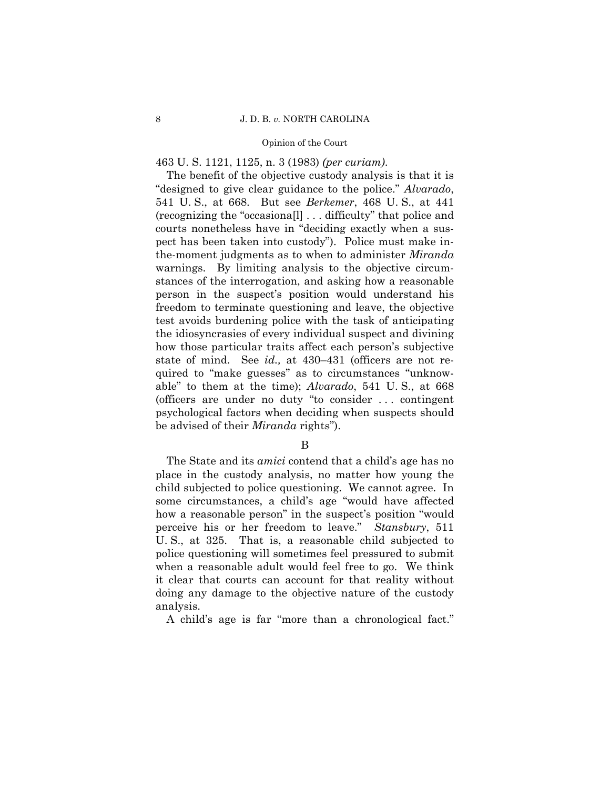463 U. S. 1121, 1125, n. 3 (1983) *(per curiam)*.

The benefit of the objective custody analysis is that it is "designed to give clear guidance to the police." *Alvarado*, 541 U. S., at 668. But see *Berkemer*, 468 U. S., at 441 (recognizing the "occasiona[l] . . . difficulty" that police and courts nonetheless have in "deciding exactly when a suspect has been taken into custody"). Police must make inthe-moment judgments as to when to administer *Miranda*  warnings. By limiting analysis to the objective circumstances of the interrogation, and asking how a reasonable person in the suspect's position would understand his freedom to terminate questioning and leave, the objective test avoids burdening police with the task of anticipating the idiosyncrasies of every individual suspect and divining how those particular traits affect each person's subjective state of mind. See *id.,* at 430–431 (officers are not required to "make guesses" as to circumstances "unknowable" to them at the time); *Alvarado*, 541 U. S., at 668 (officers are under no duty "to consider . . . contingent psychological factors when deciding when suspects should be advised of their *Miranda* rights").

# B

The State and its *amici* contend that a child's age has no place in the custody analysis, no matter how young the child subjected to police questioning. We cannot agree. In some circumstances, a child's age "would have affected how a reasonable person" in the suspect's position "would perceive his or her freedom to leave." *Stansbury*, 511 U. S., at 325. That is, a reasonable child subjected to police questioning will sometimes feel pressured to submit when a reasonable adult would feel free to go. We think it clear that courts can account for that reality without doing any damage to the objective nature of the custody analysis.

A child's age is far "more than a chronological fact."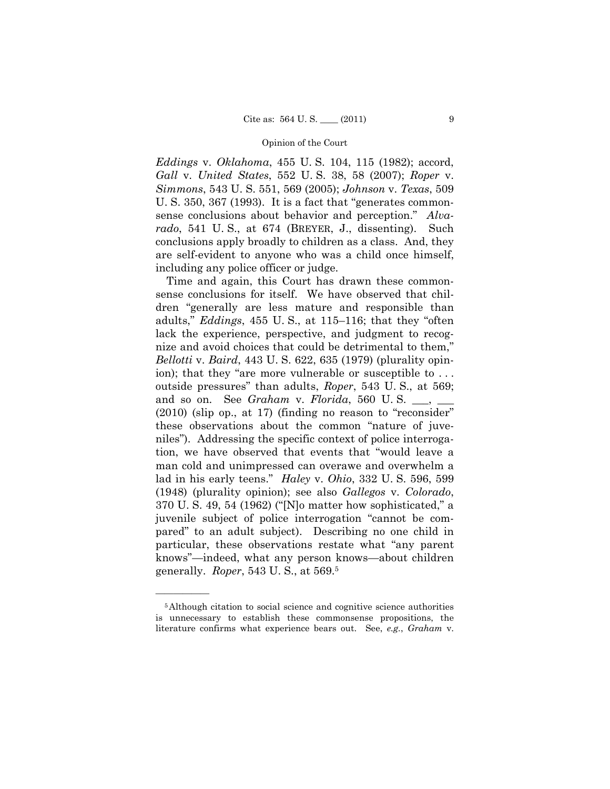*Eddings* v. *Oklahoma*, 455 U. S. 104, 115 (1982); accord, *Gall* v. *United States*, 552 U. S. 38, 58 (2007); *Roper* v. *Simmons*, 543 U. S. 551, 569 (2005); *Johnson* v. *Texas*, 509 U. S. 350, 367 (1993). It is a fact that "generates commonsense conclusions about behavior and perception." *Alvarado*, 541 U. S., at 674 (BREYER, J., dissenting). Such conclusions apply broadly to children as a class. And, they are self-evident to anyone who was a child once himself, including any police officer or judge.

Time and again, this Court has drawn these commonsense conclusions for itself. We have observed that children "generally are less mature and responsible than adults," *Eddings*, 455 U. S., at 115–116; that they "often lack the experience, perspective, and judgment to recognize and avoid choices that could be detrimental to them, *Bellotti* v. *Baird*, 443 U. S. 622, 635 (1979) (plurality opinion); that they "are more vulnerable or susceptible to ... outside pressures" than adults, *Roper*, 543 U. S., at 569; and so on. See *Graham* v. *Florida*, 560 U.S. \_\_, (2010) (slip op., at 17) (finding no reason to "reconsider" these observations about the common "nature of juveniles"). Addressing the specific context of police interrogation, we have observed that events that "would leave a man cold and unimpressed can overawe and overwhelm a lad in his early teens." *Haley* v. *Ohio*, 332 U. S. 596, 599 (1948) (plurality opinion); see also *Gallegos* v. *Colorado*, 370 U. S. 49, 54 (1962) ("[N]o matter how sophisticated," a juvenile subject of police interrogation "cannot be compared" to an adult subject). Describing no one child in particular, these observations restate what "any parent knows"—indeed, what any person knows—about children generally. *Roper*, 543 U. S., at 569.5

<sup>5</sup>Although citation to social science and cognitive science authorities is unnecessary to establish these commonsense propositions, the literature confirms what experience bears out. See, *e.g.*, *Graham* v.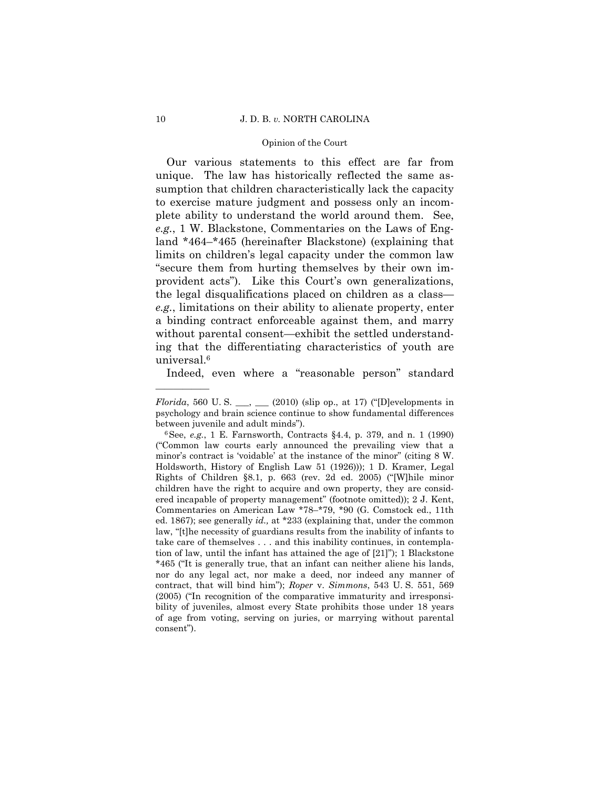Our various statements to this effect are far from unique. The law has historically reflected the same assumption that children characteristically lack the capacity to exercise mature judgment and possess only an incomplete ability to understand the world around them. See, *e.g.*, 1 W. Blackstone, Commentaries on the Laws of England \*464–\*465 (hereinafter Blackstone) (explaining that limits on children's legal capacity under the common law "secure them from hurting themselves by their own improvident acts"). Like this Court's own generalizations, the legal disqualifications placed on children as a class *e.g.*, limitations on their ability to alienate property, enter a binding contract enforceable against them, and marry without parental consent—exhibit the settled understanding that the differentiating characteristics of youth are universal.6

Indeed, even where a "reasonable person" standard

*Florida*, 560 U.S.  $\qquad \qquad$  (2010) (slip op., at 17) ("[D]evelopments in psychology and brain science continue to show fundamental differences between juvenile and adult minds"). 6See, *e.g.*, 1 E. Farnsworth, Contracts §4.4, p. 379, and n. 1 (1990)

<sup>(&</sup>quot;Common law courts early announced the prevailing view that a minor's contract is 'voidable' at the instance of the minor" (citing 8 W. Holdsworth, History of English Law 51 (1926))); 1 D. Kramer, Legal Rights of Children §8.1, p. 663 (rev. 2d ed. 2005) ("[W]hile minor children have the right to acquire and own property, they are considered incapable of property management" (footnote omitted)); 2 J. Kent, Commentaries on American Law \*78–\*79, \*90 (G. Comstock ed., 11th ed. 1867); see generally *id.,* at \*233 (explaining that, under the common law, "[t]he necessity of guardians results from the inability of infants to take care of themselves . . . and this inability continues, in contemplation of law, until the infant has attained the age of [21]"); 1 Blackstone \*465 ("It is generally true, that an infant can neither aliene his lands, nor do any legal act, nor make a deed, nor indeed any manner of contract, that will bind him"); *Roper* v. *Simmons*, 543 U. S. 551, 569 (2005) ("In recognition of the comparative immaturity and irresponsibility of juveniles, almost every State prohibits those under 18 years of age from voting, serving on juries, or marrying without parental consent").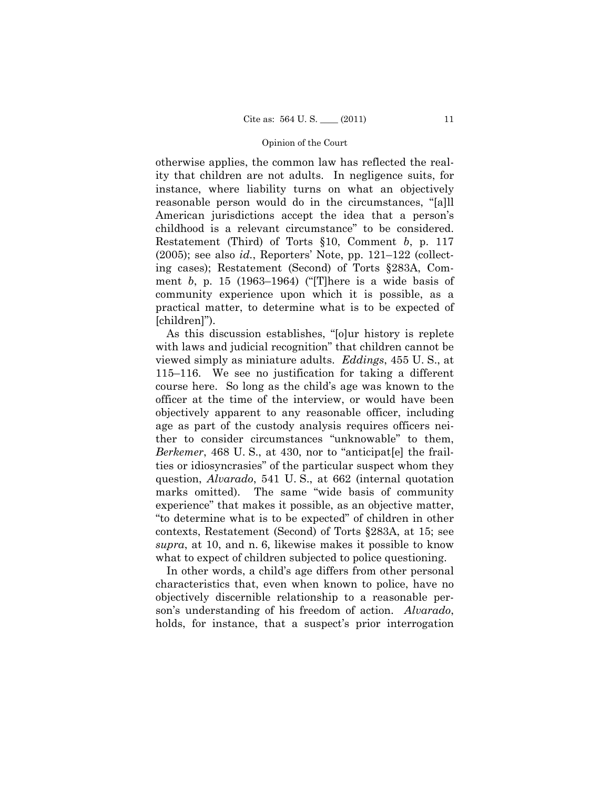otherwise applies, the common law has reflected the reality that children are not adults. In negligence suits, for instance, where liability turns on what an objectively reasonable person would do in the circumstances, "[a]ll American jurisdictions accept the idea that a person's childhood is a relevant circumstance" to be considered. Restatement (Third) of Torts §10, Comment *b*, p. 117 (2005); see also *id.*, Reporters' Note, pp. 121–122 (collecting cases); Restatement (Second) of Torts §283A, Comment *b*, p. 15 (1963–1964) ("[T]here is a wide basis of community experience upon which it is possible, as a practical matter, to determine what is to be expected of [children]").

As this discussion establishes, "[o]ur history is replete with laws and judicial recognition" that children cannot be viewed simply as miniature adults. *Eddings*, 455 U. S., at 115–116. We see no justification for taking a different course here. So long as the child's age was known to the officer at the time of the interview, or would have been objectively apparent to any reasonable officer, including age as part of the custody analysis requires officers neither to consider circumstances "unknowable" to them, *Berkemer*, 468 U.S., at 430, nor to "anticipat<sup>[e]</sup> the frailties or idiosyncrasies" of the particular suspect whom they question, *Alvarado*, 541 U. S., at 662 (internal quotation marks omitted). The same "wide basis of community experience" that makes it possible, as an objective matter, "to determine what is to be expected" of children in other contexts, Restatement (Second) of Torts §283A, at 15; see *supra*, at 10, and n. 6, likewise makes it possible to know what to expect of children subjected to police questioning.

In other words, a child's age differs from other personal characteristics that, even when known to police, have no objectively discernible relationship to a reasonable person's understanding of his freedom of action. *Alvarado*, holds, for instance, that a suspect's prior interrogation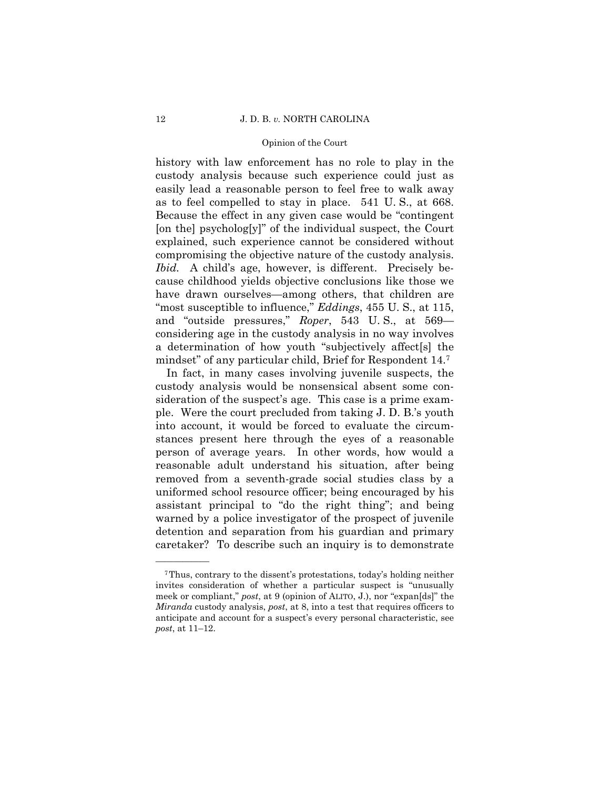history with law enforcement has no role to play in the custody analysis because such experience could just as easily lead a reasonable person to feel free to walk away as to feel compelled to stay in place. 541 U. S., at 668. Because the effect in any given case would be "contingent [on the] psycholog[y]" of the individual suspect, the Court explained, such experience cannot be considered without compromising the objective nature of the custody analysis. *Ibid.* A child's age, however, is different. Precisely because childhood yields objective conclusions like those we have drawn ourselves—among others, that children are "most susceptible to influence," *Eddings*, 455 U. S., at 115, and "outside pressures," *Roper*, 543 U. S., at 569 considering age in the custody analysis in no way involves a determination of how youth "subjectively affect[s] the mindset" of any particular child, Brief for Respondent 14.7

In fact, in many cases involving juvenile suspects, the custody analysis would be nonsensical absent some consideration of the suspect's age. This case is a prime example. Were the court precluded from taking J. D. B.'s youth into account, it would be forced to evaluate the circumstances present here through the eyes of a reasonable person of average years. In other words, how would a reasonable adult understand his situation, after being removed from a seventh-grade social studies class by a uniformed school resource officer; being encouraged by his assistant principal to "do the right thing"; and being warned by a police investigator of the prospect of juvenile detention and separation from his guardian and primary caretaker? To describe such an inquiry is to demonstrate

<sup>7</sup>Thus, contrary to the dissent's protestations, today's holding neither invites consideration of whether a particular suspect is "unusually meek or compliant," *post*, at 9 (opinion of ALITO, J.), nor "expan[ds]" the *Miranda* custody analysis, *post*, at 8, into a test that requires officers to anticipate and account for a suspect's every personal characteristic, see *post*, at 11–12.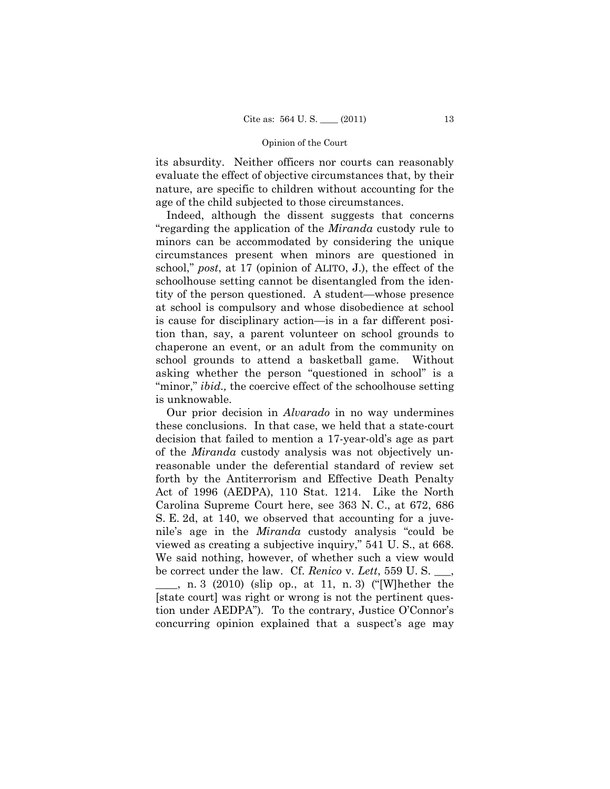its absurdity. Neither officers nor courts can reasonably evaluate the effect of objective circumstances that, by their nature, are specific to children without accounting for the age of the child subjected to those circumstances.

Indeed, although the dissent suggests that concerns "regarding the application of the *Miranda* custody rule to minors can be accommodated by considering the unique circumstances present when minors are questioned in school," *post*, at 17 (opinion of ALITO, J.), the effect of the schoolhouse setting cannot be disentangled from the identity of the person questioned. A student—whose presence at school is compulsory and whose disobedience at school is cause for disciplinary action—is in a far different position than, say, a parent volunteer on school grounds to chaperone an event, or an adult from the community on school grounds to attend a basketball game. Without asking whether the person "questioned in school" is a "minor," *ibid.*, the coercive effect of the schoolhouse setting is unknowable.

Our prior decision in *Alvarado* in no way undermines these conclusions. In that case, we held that a state-court decision that failed to mention a 17-year-old's age as part of the *Miranda* custody analysis was not objectively unreasonable under the deferential standard of review set forth by the Antiterrorism and Effective Death Penalty Act of 1996 (AEDPA), 110 Stat. 1214. Like the North Carolina Supreme Court here, see 363 N. C., at 672, 686 S. E. 2d, at 140, we observed that accounting for a juvenile's age in the *Miranda* custody analysis "could be viewed as creating a subjective inquiry," 541 U. S., at 668. We said nothing, however, of whether such a view would be correct under the law. Cf. *Renico* v. *Lett*, 559 U. S. \_\_\_,

\_\_\_\_, n. 3 (2010) (slip op., at 11, n. 3) ("[W]hether the [state court] was right or wrong is not the pertinent question under AEDPA"). To the contrary, Justice O'Connor's concurring opinion explained that a suspect's age may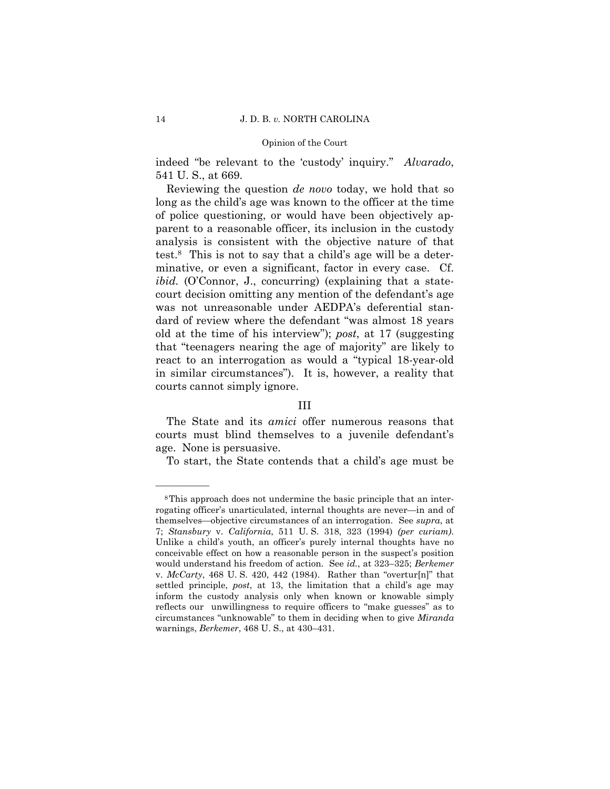indeed "be relevant to the 'custody' inquiry." *Alvarado*, 541 U. S., at 669.

Reviewing the question *de novo* today, we hold that so long as the child's age was known to the officer at the time of police questioning, or would have been objectively apparent to a reasonable officer, its inclusion in the custody analysis is consistent with the objective nature of that test.8 This is not to say that a child's age will be a determinative, or even a significant, factor in every case. Cf. *ibid.* (O'Connor, J., concurring) (explaining that a statecourt decision omitting any mention of the defendant's age was not unreasonable under AEDPA's deferential standard of review where the defendant "was almost 18 years old at the time of his interview"); *post*, at 17 (suggesting that "teenagers nearing the age of majority" are likely to react to an interrogation as would a "typical 18-year-old in similar circumstances"). It is, however, a reality that courts cannot simply ignore.

# III

The State and its *amici* offer numerous reasons that courts must blind themselves to a juvenile defendant's age. None is persuasive.

To start, the State contends that a child's age must be

<sup>8</sup>This approach does not undermine the basic principle that an interrogating officer's unarticulated, internal thoughts are never—in and of themselves—objective circumstances of an interrogation. See *supra*, at 7; *Stansbury* v. *California*, 511 U. S. 318, 323 (1994) *(per curiam)*. Unlike a child's youth, an officer's purely internal thoughts have no conceivable effect on how a reasonable person in the suspect's position would understand his freedom of action. See *id.*, at 323–325; *Berkemer*  v. *McCarty*, 468 U. S. 420, 442 (1984). Rather than "overtur[n]" that settled principle, *post*, at 13, the limitation that a child's age may inform the custody analysis only when known or knowable simply reflects our unwillingness to require officers to "make guesses" as to circumstances "unknowable" to them in deciding when to give *Miranda*  warnings, *Berkemer*, 468 U. S., at 430–431.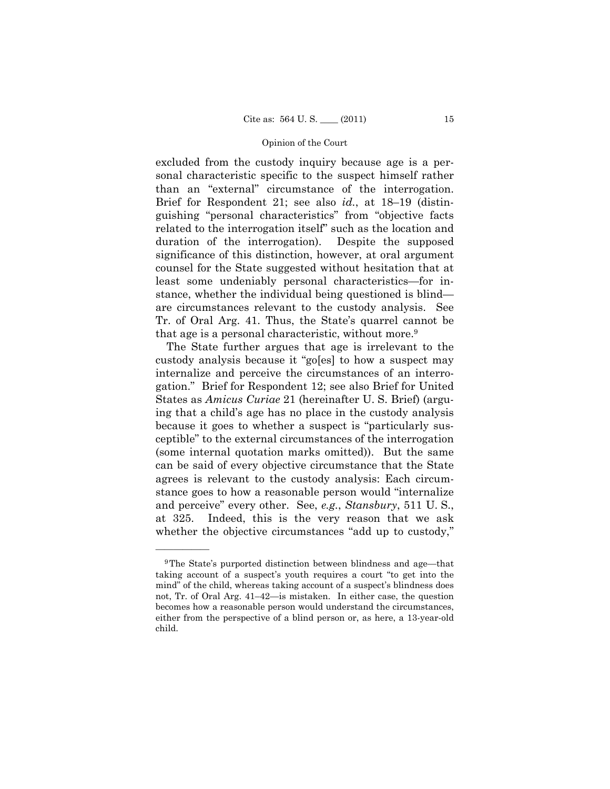excluded from the custody inquiry because age is a personal characteristic specific to the suspect himself rather than an "external" circumstance of the interrogation. Brief for Respondent 21; see also *id.*, at 18–19 (distinguishing "personal characteristics" from "objective facts related to the interrogation itself" such as the location and duration of the interrogation). Despite the supposed significance of this distinction, however, at oral argument counsel for the State suggested without hesitation that at least some undeniably personal characteristics—for instance, whether the individual being questioned is blind are circumstances relevant to the custody analysis. See Tr. of Oral Arg. 41. Thus, the State's quarrel cannot be that age is a personal characteristic, without more.9

The State further argues that age is irrelevant to the custody analysis because it "go[es] to how a suspect may internalize and perceive the circumstances of an interrogation." Brief for Respondent 12; see also Brief for United States as *Amicus Curiae* 21 (hereinafter U. S. Brief) (arguing that a child's age has no place in the custody analysis because it goes to whether a suspect is "particularly susceptible" to the external circumstances of the interrogation (some internal quotation marks omitted)). But the same can be said of every objective circumstance that the State agrees is relevant to the custody analysis: Each circumstance goes to how a reasonable person would "internalize and perceive" every other. See, *e.g.*, *Stansbury*, 511 U. S., at 325. Indeed, this is the very reason that we ask whether the objective circumstances "add up to custody,"

<sup>9</sup>The State's purported distinction between blindness and age—that taking account of a suspect's youth requires a court "to get into the mind" of the child, whereas taking account of a suspect's blindness does not, Tr. of Oral Arg. 41–42—is mistaken. In either case, the question becomes how a reasonable person would understand the circumstances, either from the perspective of a blind person or, as here, a 13-year-old child.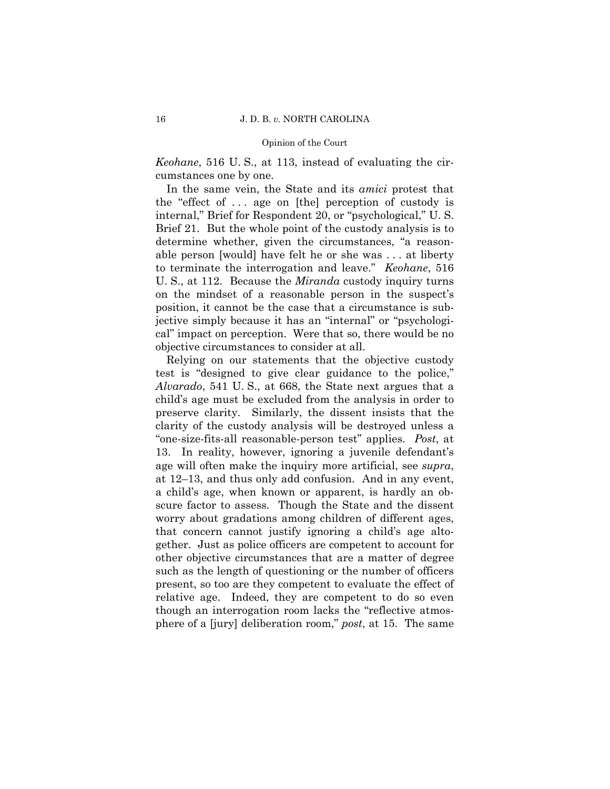*Keohane*, 516 U. S., at 113, instead of evaluating the circumstances one by one.

In the same vein, the State and its *amici* protest that the "effect of . . . age on [the] perception of custody is internal," Brief for Respondent 20, or "psychological," U. S. Brief 21. But the whole point of the custody analysis is to determine whether, given the circumstances, "a reasonable person [would] have felt he or she was . . . at liberty to terminate the interrogation and leave." *Keohane*, 516 U. S., at 112. Because the *Miranda* custody inquiry turns on the mindset of a reasonable person in the suspect's position, it cannot be the case that a circumstance is subjective simply because it has an "internal" or "psychological" impact on perception. Were that so, there would be no objective circumstances to consider at all.

Relying on our statements that the objective custody test is "designed to give clear guidance to the police," *Alvarado*, 541 U. S., at 668, the State next argues that a child's age must be excluded from the analysis in order to preserve clarity. Similarly, the dissent insists that the clarity of the custody analysis will be destroyed unless a "one-size-fits-all reasonable-person test" applies. *Post*, at 13. In reality, however, ignoring a juvenile defendant's age will often make the inquiry more artificial, see *supra*, at 12–13, and thus only add confusion. And in any event, a child's age, when known or apparent, is hardly an obscure factor to assess. Though the State and the dissent worry about gradations among children of different ages, that concern cannot justify ignoring a child's age altogether. Just as police officers are competent to account for other objective circumstances that are a matter of degree such as the length of questioning or the number of officers present, so too are they competent to evaluate the effect of relative age. Indeed, they are competent to do so even though an interrogation room lacks the "reflective atmosphere of a [jury] deliberation room," *post*, at 15. The same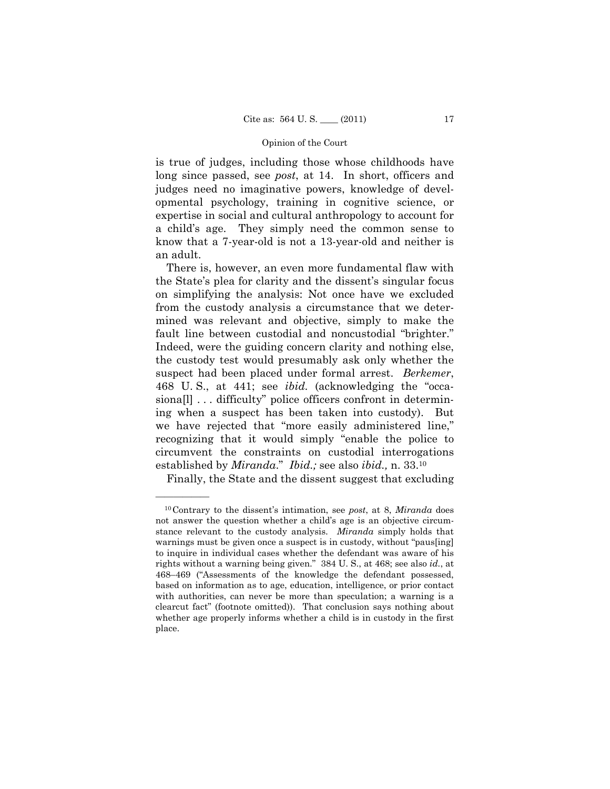is true of judges, including those whose childhoods have long since passed, see *post*, at 14. In short, officers and judges need no imaginative powers, knowledge of developmental psychology, training in cognitive science, or expertise in social and cultural anthropology to account for a child's age. They simply need the common sense to know that a 7-year-old is not a 13-year-old and neither is an adult.

There is, however, an even more fundamental flaw with the State's plea for clarity and the dissent's singular focus on simplifying the analysis: Not once have we excluded from the custody analysis a circumstance that we determined was relevant and objective, simply to make the fault line between custodial and noncustodial "brighter." Indeed, were the guiding concern clarity and nothing else, the custody test would presumably ask only whether the suspect had been placed under formal arrest. *Berkemer*, 468 U. S., at 441; see *ibid.* (acknowledging the "occasiona<sup>[]</sup> . . . difficulty" police officers confront in determining when a suspect has been taken into custody). But we have rejected that "more easily administered line," recognizing that it would simply "enable the police to circumvent the constraints on custodial interrogations established by *Miranda*." *Ibid.;* see also *ibid.,* n. 33.10

Finally, the State and the dissent suggest that excluding

<sup>10</sup>Contrary to the dissent's intimation, see *post*, at 8, *Miranda* does not answer the question whether a child's age is an objective circumstance relevant to the custody analysis. *Miranda* simply holds that warnings must be given once a suspect is in custody, without "paus[ing] to inquire in individual cases whether the defendant was aware of his rights without a warning being given." 384 U. S., at 468; see also *id.*, at 468–469 ("Assessments of the knowledge the defendant possessed, based on information as to age, education, intelligence, or prior contact with authorities, can never be more than speculation; a warning is a clearcut fact" (footnote omitted)). That conclusion says nothing about whether age properly informs whether a child is in custody in the first place.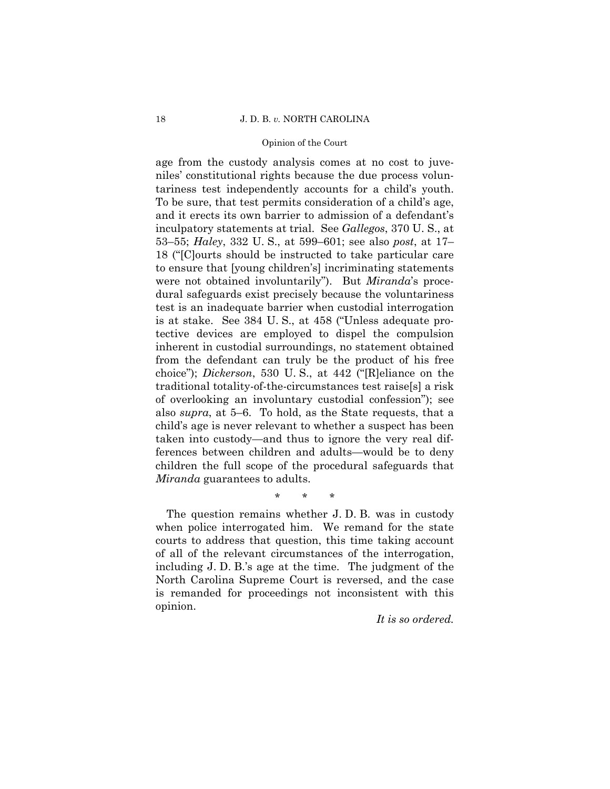age from the custody analysis comes at no cost to juveniles' constitutional rights because the due process voluntariness test independently accounts for a child's youth. To be sure, that test permits consideration of a child's age, and it erects its own barrier to admission of a defendant's inculpatory statements at trial. See *Gallegos*, 370 U. S., at 53–55; *Haley*, 332 U. S., at 599–601; see also *post*, at 17– 18 ("[C]ourts should be instructed to take particular care to ensure that [young children's] incriminating statements were not obtained involuntarily"). But *Miranda*'s procedural safeguards exist precisely because the voluntariness test is an inadequate barrier when custodial interrogation is at stake. See 384 U. S., at 458 ("Unless adequate protective devices are employed to dispel the compulsion inherent in custodial surroundings, no statement obtained from the defendant can truly be the product of his free choice"); *Dickerson*, 530 U. S., at 442 ("[R]eliance on the traditional totality-of-the-circumstances test raise[s] a risk of overlooking an involuntary custodial confession"); see also *supra*, at 5–6. To hold, as the State requests, that a child's age is never relevant to whether a suspect has been taken into custody—and thus to ignore the very real differences between children and adults—would be to deny children the full scope of the procedural safeguards that *Miranda* guarantees to adults.

\* \* \*

The question remains whether J. D. B. was in custody when police interrogated him. We remand for the state courts to address that question, this time taking account of all of the relevant circumstances of the interrogation, including J. D. B.'s age at the time. The judgment of the North Carolina Supreme Court is reversed, and the case is remanded for proceedings not inconsistent with this opinion.

*It is so ordered.*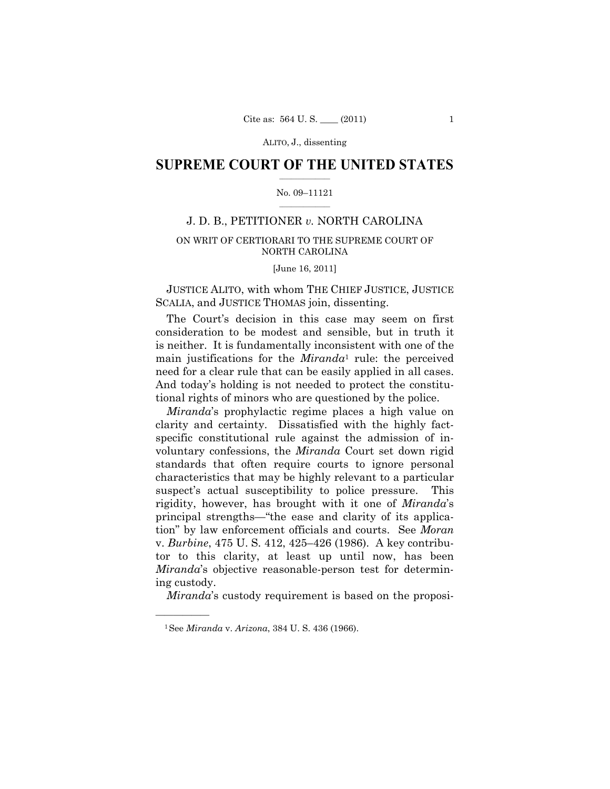# $\frac{1}{2}$  ,  $\frac{1}{2}$  ,  $\frac{1}{2}$  ,  $\frac{1}{2}$  ,  $\frac{1}{2}$  ,  $\frac{1}{2}$  ,  $\frac{1}{2}$ **SUPREME COURT OF THE UNITED STATES**

# $\frac{1}{2}$  ,  $\frac{1}{2}$  ,  $\frac{1}{2}$  ,  $\frac{1}{2}$  ,  $\frac{1}{2}$  ,  $\frac{1}{2}$ No. 09–11121

# J. D. B., PETITIONER *v.* NORTH CAROLINA

# ON WRIT OF CERTIORARI TO THE SUPREME COURT OF NORTH CAROLINA

[June 16, 2011]

JUSTICE ALITO, with whom THE CHIEF JUSTICE, JUSTICE SCALIA, and JUSTICE THOMAS join, dissenting.

The Court's decision in this case may seem on first consideration to be modest and sensible, but in truth it is neither. It is fundamentally inconsistent with one of the main justifications for the *Miranda*1 rule: the perceived need for a clear rule that can be easily applied in all cases. And today's holding is not needed to protect the constitutional rights of minors who are questioned by the police.

*Miranda*'s prophylactic regime places a high value on clarity and certainty. Dissatisfied with the highly factspecific constitutional rule against the admission of involuntary confessions, the *Miranda* Court set down rigid standards that often require courts to ignore personal characteristics that may be highly relevant to a particular suspect's actual susceptibility to police pressure. This rigidity, however, has brought with it one of *Miranda*'s principal strengths—"the ease and clarity of its application" by law enforcement officials and courts. See *Moran*  v. *Burbine*, 475 U. S. 412, 425–426 (1986). A key contributor to this clarity, at least up until now, has been *Miranda*'s objective reasonable-person test for determining custody.

*Miranda*'s custody requirement is based on the proposi

<sup>1</sup>See *Miranda* v. *Arizona*, 384 U. S. 436 (1966).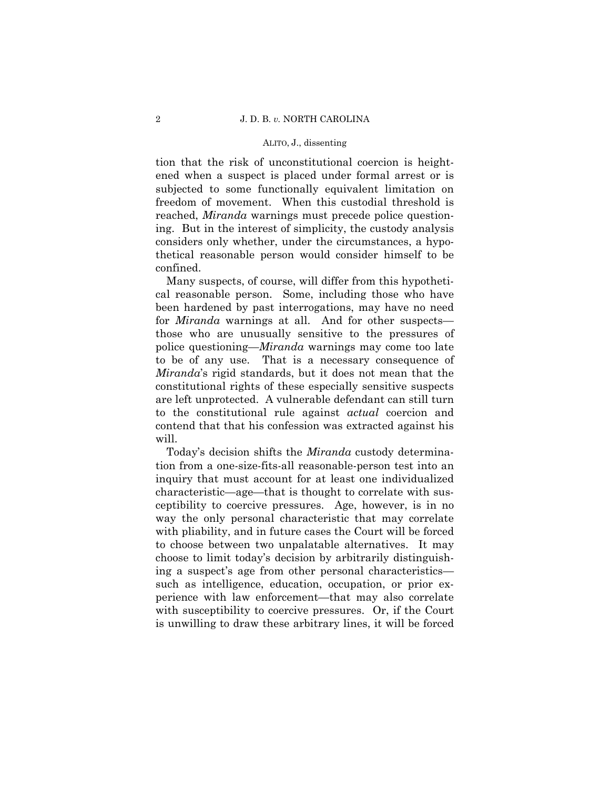tion that the risk of unconstitutional coercion is heightened when a suspect is placed under formal arrest or is subjected to some functionally equivalent limitation on freedom of movement. When this custodial threshold is reached, *Miranda* warnings must precede police questioning. But in the interest of simplicity, the custody analysis considers only whether, under the circumstances, a hypothetical reasonable person would consider himself to be confined.

Many suspects, of course, will differ from this hypothetical reasonable person. Some, including those who have been hardened by past interrogations, may have no need for *Miranda* warnings at all. And for other suspects those who are unusually sensitive to the pressures of police questioning—*Miranda* warnings may come too late to be of any use. That is a necessary consequence of *Miranda*'s rigid standards, but it does not mean that the constitutional rights of these especially sensitive suspects are left unprotected. A vulnerable defendant can still turn to the constitutional rule against *actual* coercion and contend that that his confession was extracted against his will.

Today's decision shifts the *Miranda* custody determination from a one-size-fits-all reasonable-person test into an inquiry that must account for at least one individualized characteristic—age—that is thought to correlate with susceptibility to coercive pressures. Age, however, is in no way the only personal characteristic that may correlate with pliability, and in future cases the Court will be forced to choose between two unpalatable alternatives. It may choose to limit today's decision by arbitrarily distinguishing a suspect's age from other personal characteristics such as intelligence, education, occupation, or prior experience with law enforcement—that may also correlate with susceptibility to coercive pressures. Or, if the Court is unwilling to draw these arbitrary lines, it will be forced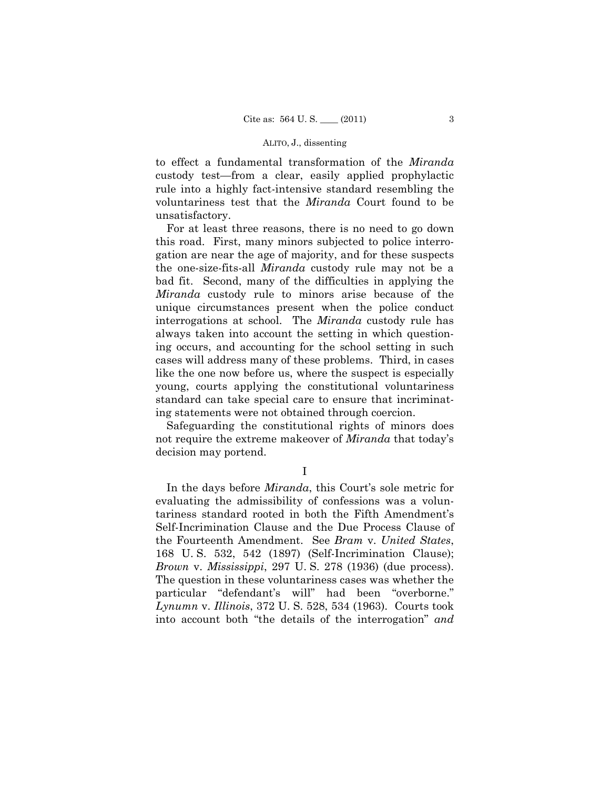to effect a fundamental transformation of the *Miranda*  custody test—from a clear, easily applied prophylactic rule into a highly fact-intensive standard resembling the voluntariness test that the *Miranda* Court found to be unsatisfactory.

For at least three reasons, there is no need to go down this road. First, many minors subjected to police interrogation are near the age of majority, and for these suspects the one-size-fits-all *Miranda* custody rule may not be a bad fit. Second, many of the difficulties in applying the *Miranda* custody rule to minors arise because of the unique circumstances present when the police conduct interrogations at school. The *Miranda* custody rule has always taken into account the setting in which questioning occurs, and accounting for the school setting in such cases will address many of these problems. Third, in cases like the one now before us, where the suspect is especially young, courts applying the constitutional voluntariness standard can take special care to ensure that incriminating statements were not obtained through coercion.

Safeguarding the constitutional rights of minors does not require the extreme makeover of *Miranda* that today's decision may portend.

I

In the days before *Miranda*, this Court's sole metric for evaluating the admissibility of confessions was a voluntariness standard rooted in both the Fifth Amendment's Self-Incrimination Clause and the Due Process Clause of the Fourteenth Amendment. See *Bram* v. *United States*, 168 U. S. 532, 542 (1897) (Self-Incrimination Clause); *Brown* v. *Mississippi*, 297 U. S. 278 (1936) (due process). The question in these voluntariness cases was whether the particular "defendant's will" had been "overborne." *Lynumn* v. *Illinois*, 372 U. S. 528, 534 (1963). Courts took into account both "the details of the interrogation" *and*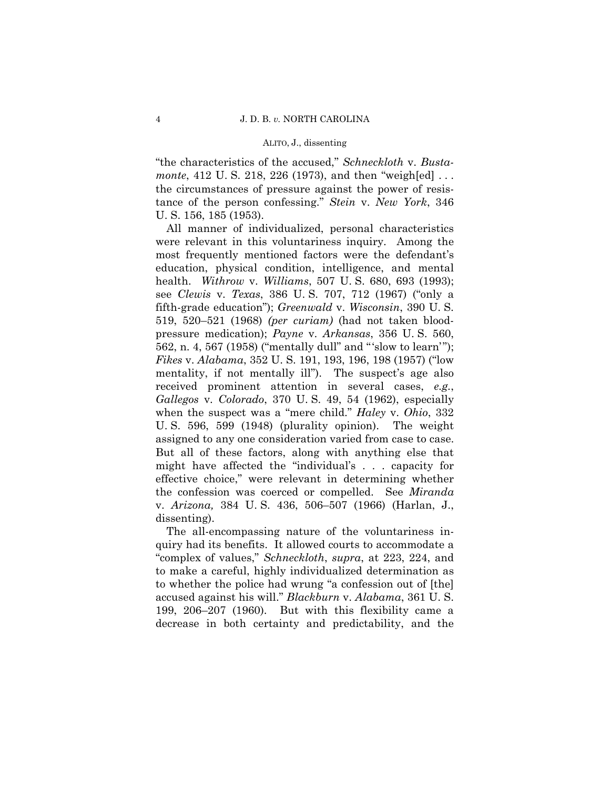"the characteristics of the accused," *Schneckloth* v. *Bustamonte*, 412 U.S. 218, 226 (1973), and then "weigh[ed] ... the circumstances of pressure against the power of resistance of the person confessing." *Stein* v. *New York*, 346 U. S. 156, 185 (1953).

All manner of individualized, personal characteristics were relevant in this voluntariness inquiry. Among the most frequently mentioned factors were the defendant's education, physical condition, intelligence, and mental health. *Withrow* v. *Williams*, 507 U. S. 680, 693 (1993); see *Clewis* v. *Texas*, 386 U. S. 707, 712 (1967) ("only a fifth-grade education"); *Greenwald* v. *Wisconsin*, 390 U. S. 519, 520–521 (1968) *(per curiam)* (had not taken bloodpressure medication); *Payne* v. *Arkansas*, 356 U. S. 560, 562, n. 4, 567 (1958) ("mentally dull" and "'slow to learn'"); *Fikes* v. *Alabama*, 352 U. S. 191, 193, 196, 198 (1957) ("low mentality, if not mentally ill"). The suspect's age also received prominent attention in several cases, *e.g.*, *Gallegos* v. *Colorado*, 370 U. S. 49, 54 (1962), especially when the suspect was a "mere child." *Haley* v. *Ohio*, 332 U. S. 596, 599 (1948) (plurality opinion). The weight assigned to any one consideration varied from case to case. But all of these factors, along with anything else that might have affected the "individual's . . . capacity for effective choice," were relevant in determining whether the confession was coerced or compelled. See *Miranda*  v. *Arizona,* 384 U. S. 436, 506–507 (1966) (Harlan, J., dissenting).

The all-encompassing nature of the voluntariness inquiry had its benefits. It allowed courts to accommodate a "complex of values," *Schneckloth*, *supra*, at 223, 224, and to make a careful, highly individualized determination as to whether the police had wrung "a confession out of [the] accused against his will." *Blackburn* v. *Alabama*, 361 U. S. 199, 206–207 (1960). But with this flexibility came a decrease in both certainty and predictability, and the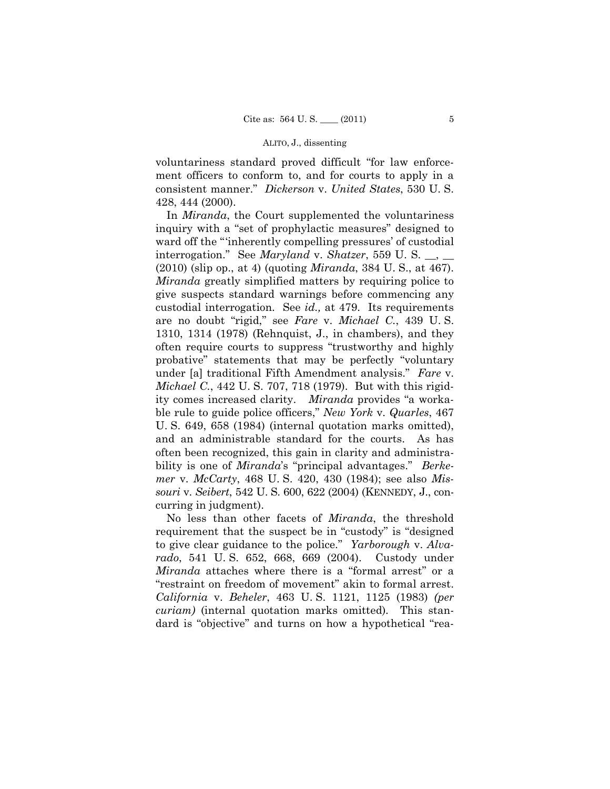voluntariness standard proved difficult "for law enforcement officers to conform to, and for courts to apply in a consistent manner." *Dickerson* v. *United States*, 530 U. S. 428, 444 (2000).

In *Miranda*, the Court supplemented the voluntariness inquiry with a "set of prophylactic measures" designed to ward off the "'inherently compelling pressures' of custodial interrogation." See *Maryland* v. *Shatzer*, 559 U. S. \_\_, \_\_ (2010) (slip op., at 4) (quoting *Miranda*, 384 U. S., at 467). *Miranda* greatly simplified matters by requiring police to give suspects standard warnings before commencing any custodial interrogation. See *id.,* at 479. Its requirements are no doubt "rigid," see *Fare* v. *Michael C.*, 439 U. S. 1310, 1314 (1978) (Rehnquist, J., in chambers), and they often require courts to suppress "trustworthy and highly probative" statements that may be perfectly "voluntary under [a] traditional Fifth Amendment analysis." *Fare* v. *Michael C.*, 442 U. S. 707, 718 (1979). But with this rigidity comes increased clarity. *Miranda* provides "a workable rule to guide police officers," *New York* v. *Quarles*, 467 U. S. 649, 658 (1984) (internal quotation marks omitted), and an administrable standard for the courts. As has often been recognized, this gain in clarity and administrability is one of *Miranda*'s "principal advantages." *Berkemer* v. *McCarty*, 468 U. S. 420, 430 (1984); see also *Missouri* v. *Seibert*, 542 U. S. 600, 622 (2004) (KENNEDY, J., concurring in judgment).

No less than other facets of *Miranda*, the threshold requirement that the suspect be in "custody" is "designed to give clear guidance to the police." *Yarborough* v. *Alvarado*, 541 U. S. 652, 668, 669 (2004). Custody under *Miranda* attaches where there is a "formal arrest" or a "restraint on freedom of movement" akin to formal arrest. *California* v. *Beheler*, 463 U. S. 1121, 1125 (1983) *(per curiam)* (internal quotation marks omitted)*.* This standard is "objective" and turns on how a hypothetical "rea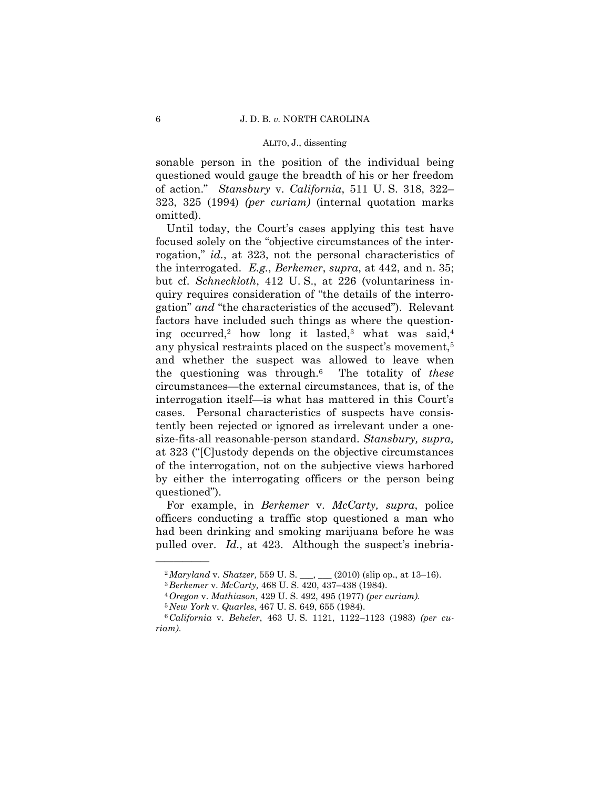sonable person in the position of the individual being questioned would gauge the breadth of his or her freedom of action." *Stansbury* v. *California*, 511 U. S. 318, 322– 323, 325 (1994) *(per curiam)* (internal quotation marks omitted).

Until today, the Court's cases applying this test have focused solely on the "objective circumstances of the interrogation," *id.*, at 323, not the personal characteristics of the interrogated. *E.g.*, *Berkemer*, *supra*, at 442, and n. 35; but cf. *Schneckloth*, 412 U. S., at 226 (voluntariness inquiry requires consideration of "the details of the interrogation" *and* "the characteristics of the accused"). Relevant factors have included such things as where the questioning occurred,<sup>2</sup> how long it lasted,<sup>3</sup> what was said,<sup>4</sup> any physical restraints placed on the suspect's movement,5 and whether the suspect was allowed to leave when the questioning was through.6 The totality of *these*  circumstances—the external circumstances, that is, of the interrogation itself—is what has mattered in this Court's cases. Personal characteristics of suspects have consistently been rejected or ignored as irrelevant under a onesize-fits-all reasonable-person standard. *Stansbury, supra,* at 323 ("[C]ustody depends on the objective circumstances of the interrogation, not on the subjective views harbored by either the interrogating officers or the person being questioned").

For example, in *Berkemer* v. *McCarty, supra*, police officers conducting a traffic stop questioned a man who had been drinking and smoking marijuana before he was pulled over. *Id.,* at 423. Although the suspect's inebria

<sup>&</sup>lt;sup>2</sup> Maryland v. Shatzer, 559 U. S. \_\_\_, \_\_\_(2010) (slip op., at 13–16).<br>
<sup>3</sup> Berkemer v. McCarty, 468 U. S. 420, 437–438 (1984).<br>
<sup>4</sup> Oregon v. Mathiason, 429 U. S. 492, 495 (1977) (per curiam).<br>
<sup>5</sup> New York v. Quarles,

*riam)*.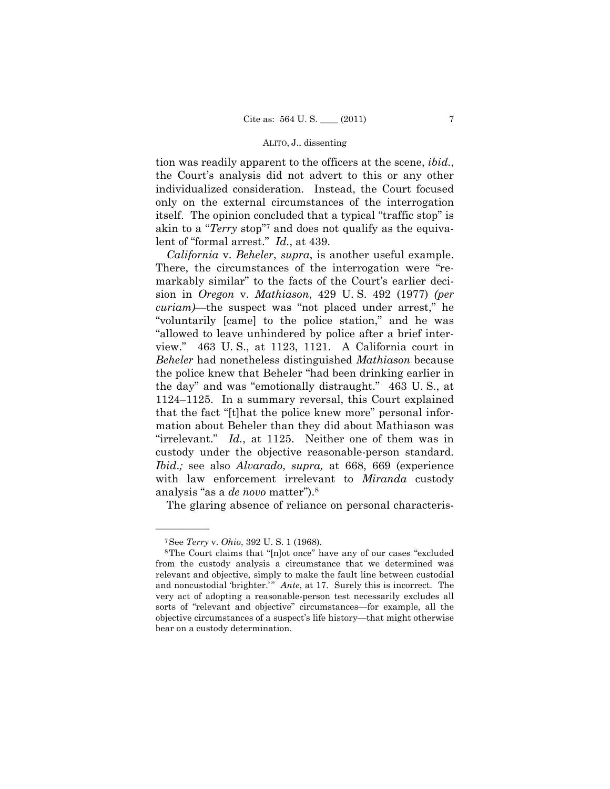tion was readily apparent to the officers at the scene, *ibid.*, the Court's analysis did not advert to this or any other individualized consideration. Instead, the Court focused only on the external circumstances of the interrogation itself. The opinion concluded that a typical "traffic stop" is akin to a "*Terry* stop"7 and does not qualify as the equivalent of "formal arrest." *Id.*, at 439.

*California* v. *Beheler*, *supra*, is another useful example. There, the circumstances of the interrogation were "remarkably similar" to the facts of the Court's earlier decision in *Oregon* v. *Mathiason*, 429 U. S. 492 (1977) *(per curiam)*—the suspect was "not placed under arrest," he "voluntarily [came] to the police station," and he was "allowed to leave unhindered by police after a brief interview." 463 U. S., at 1123, 1121. A California court in *Beheler* had nonetheless distinguished *Mathiason* because the police knew that Beheler "had been drinking earlier in the day" and was "emotionally distraught." 463 U. S., at 1124–1125. In a summary reversal, this Court explained that the fact "[t]hat the police knew more" personal information about Beheler than they did about Mathiason was "irrelevant." *Id.*, at 1125. Neither one of them was in custody under the objective reasonable-person standard. *Ibid*.*;* see also *Alvarado*, *supra,* at 668, 669 (experience with law enforcement irrelevant to *Miranda* custody analysis "as a *de novo* matter").8

The glaring absence of reliance on personal characteris

<sup>&</sup>lt;sup>7</sup>See *Terry* v. *Ohio*, 392 U. S. 1 (1968).<br><sup>8</sup>The Court claims that "[n]ot once" have any of our cases "excluded" from the custody analysis a circumstance that we determined was relevant and objective, simply to make the fault line between custodial and noncustodial 'brighter.'" Ante, at 17. Surely this is incorrect. The very act of adopting a reasonable-person test necessarily excludes all sorts of "relevant and objective" circumstances—for example, all the objective circumstances of a suspect's life history—that might otherwise bear on a custody determination.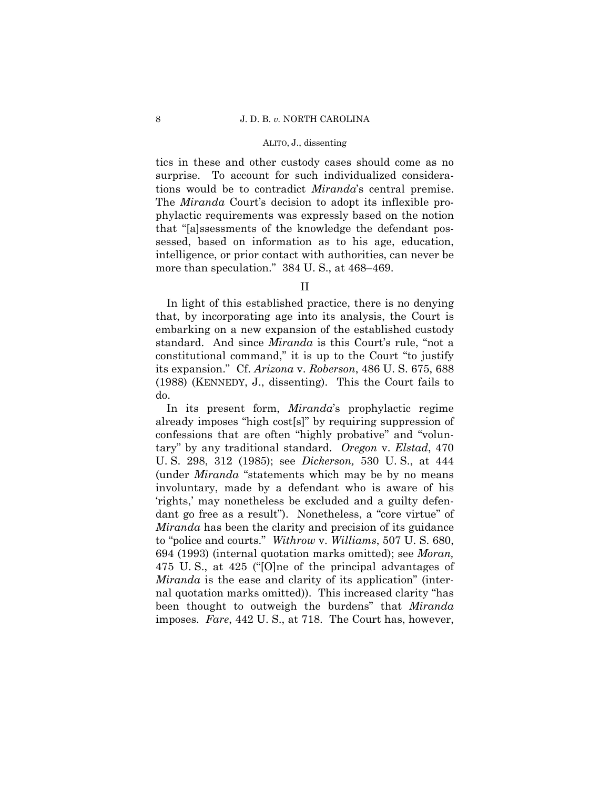tics in these and other custody cases should come as no surprise. To account for such individualized considerations would be to contradict *Miranda*'s central premise. The *Miranda* Court's decision to adopt its inflexible prophylactic requirements was expressly based on the notion that "[a]ssessments of the knowledge the defendant possessed, based on information as to his age, education, intelligence, or prior contact with authorities, can never be more than speculation." 384 U. S., at 468–469.

II

In light of this established practice, there is no denying that, by incorporating age into its analysis, the Court is embarking on a new expansion of the established custody standard. And since *Miranda* is this Court's rule, "not a constitutional command," it is up to the Court "to justify its expansion." Cf. *Arizona* v. *Roberson*, 486 U. S. 675, 688 (1988) (KENNEDY, J., dissenting). This the Court fails to do.

In its present form, *Miranda*'s prophylactic regime already imposes "high cost[s]" by requiring suppression of confessions that are often "highly probative" and "voluntary" by any traditional standard. *Oregon* v. *Elstad*, 470 U. S. 298, 312 (1985); see *Dickerson,* 530 U. S., at 444 (under *Miranda* "statements which may be by no means involuntary, made by a defendant who is aware of his 'rights,' may nonetheless be excluded and a guilty defendant go free as a result"). Nonetheless, a "core virtue" of *Miranda* has been the clarity and precision of its guidance to "police and courts." *Withrow* v. *Williams*, 507 U. S. 680, 694 (1993) (internal quotation marks omitted); see *Moran,*  475 U. S., at 425 ("[O]ne of the principal advantages of *Miranda* is the ease and clarity of its application" (internal quotation marks omitted)). This increased clarity "has been thought to outweigh the burdens" that *Miranda*  imposes. *Fare*, 442 U. S., at 718. The Court has, however,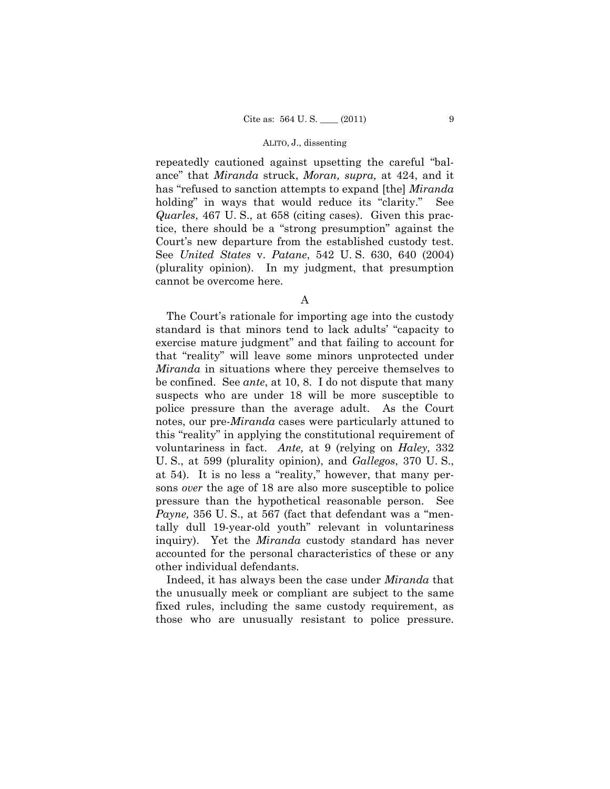repeatedly cautioned against upsetting the careful "balance" that *Miranda* struck, *Moran, supra,* at 424, and it has "refused to sanction attempts to expand [the] *Miranda*  holding" in ways that would reduce its "clarity." See *Quarles*, 467 U. S., at 658 (citing cases). Given this practice, there should be a "strong presumption" against the Court's new departure from the established custody test. See *United States* v. *Patane*, 542 U. S. 630, 640 (2004) (plurality opinion). In my judgment, that presumption cannot be overcome here.

A

The Court's rationale for importing age into the custody standard is that minors tend to lack adults' "capacity to exercise mature judgment" and that failing to account for that "reality" will leave some minors unprotected under *Miranda* in situations where they perceive themselves to be confined. See *ante*, at 10, 8. I do not dispute that many suspects who are under 18 will be more susceptible to police pressure than the average adult. As the Court notes, our pre-*Miranda* cases were particularly attuned to this "reality" in applying the constitutional requirement of voluntariness in fact. *Ante,* at 9 (relying on *Haley,* 332 U. S., at 599 (plurality opinion), and *Gallegos*, 370 U. S., at 54). It is no less a "reality," however, that many persons *over* the age of 18 are also more susceptible to police pressure than the hypothetical reasonable person. See *Payne,* 356 U. S., at 567 (fact that defendant was a "mentally dull 19-year-old youth" relevant in voluntariness inquiry). Yet the *Miranda* custody standard has never accounted for the personal characteristics of these or any other individual defendants.

Indeed, it has always been the case under *Miranda* that the unusually meek or compliant are subject to the same fixed rules, including the same custody requirement, as those who are unusually resistant to police pressure.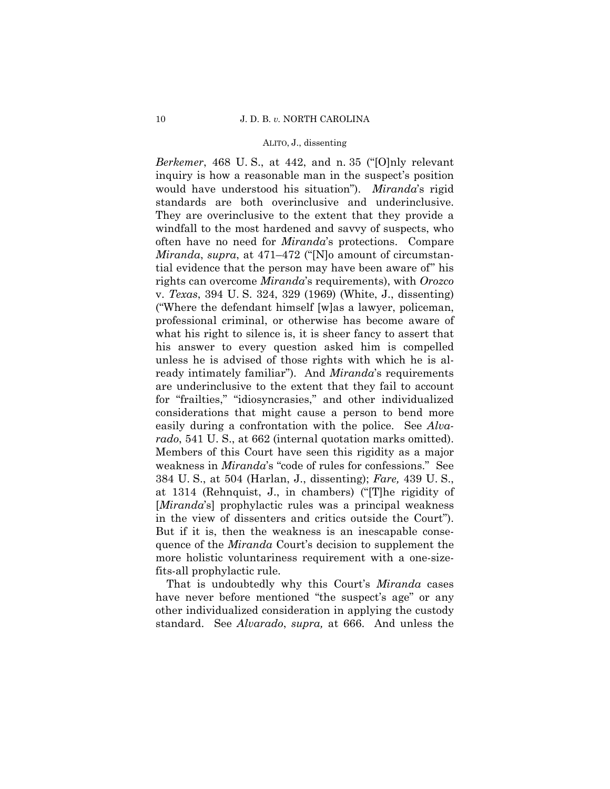*Berkemer*, 468 U. S., at 442, and n. 35 ("[O]nly relevant inquiry is how a reasonable man in the suspect's position would have understood his situation"). *Miranda*'s rigid standards are both overinclusive and underinclusive. They are overinclusive to the extent that they provide a windfall to the most hardened and savvy of suspects, who often have no need for *Miranda*'s protections. Compare *Miranda*, *supra*, at 471–472 ("[N]o amount of circumstantial evidence that the person may have been aware of" his rights can overcome *Miranda*'s requirements), with *Orozco*  v. *Texas*, 394 U. S. 324, 329 (1969) (White, J., dissenting) ("Where the defendant himself [w]as a lawyer, policeman, professional criminal, or otherwise has become aware of what his right to silence is, it is sheer fancy to assert that his answer to every question asked him is compelled unless he is advised of those rights with which he is already intimately familiar"). And *Miranda*'s requirements are underinclusive to the extent that they fail to account for "frailties," "idiosyncrasies," and other individualized considerations that might cause a person to bend more easily during a confrontation with the police. See *Alvarado*, 541 U. S., at 662 (internal quotation marks omitted). Members of this Court have seen this rigidity as a major weakness in *Miranda*'s "code of rules for confessions." See 384 U. S., at 504 (Harlan, J., dissenting); *Fare,* 439 U. S., at 1314 (Rehnquist, J., in chambers) ("[T]he rigidity of [*Miranda*'s] prophylactic rules was a principal weakness in the view of dissenters and critics outside the Court"). But if it is, then the weakness is an inescapable consequence of the *Miranda* Court's decision to supplement the more holistic voluntariness requirement with a one-sizefits-all prophylactic rule.

That is undoubtedly why this Court's *Miranda* cases have never before mentioned "the suspect's age" or any other individualized consideration in applying the custody standard. See *Alvarado*, *supra,* at 666. And unless the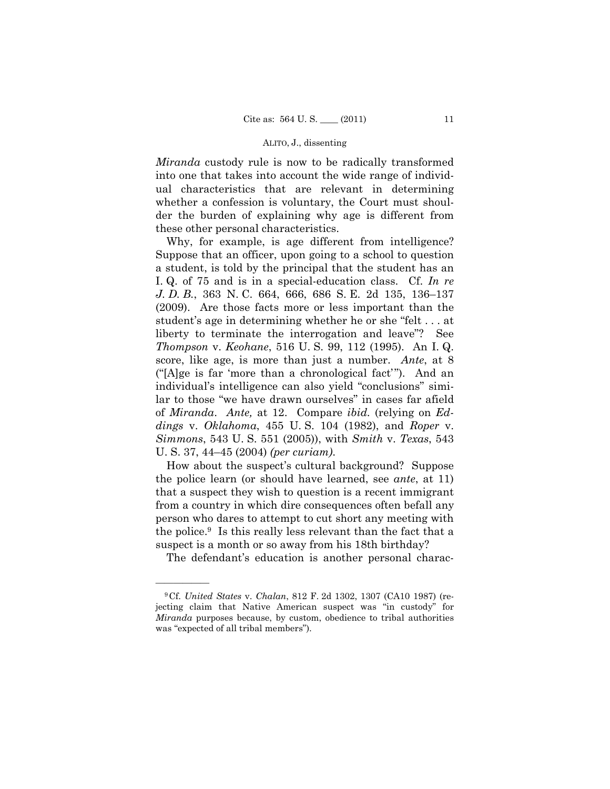*Miranda* custody rule is now to be radically transformed into one that takes into account the wide range of individual characteristics that are relevant in determining whether a confession is voluntary, the Court must shoulder the burden of explaining why age is different from these other personal characteristics.

Why, for example, is age different from intelligence? Suppose that an officer, upon going to a school to question a student, is told by the principal that the student has an I. Q. of 75 and is in a special-education class. Cf. *In re J. D. B.*, 363 N. C. 664, 666, 686 S. E. 2d 135, 136–137 (2009). Are those facts more or less important than the student's age in determining whether he or she "felt . . . at liberty to terminate the interrogation and leave"? See *Thompson* v. *Keohane*, 516 U. S. 99, 112 (1995). An I. Q. score, like age, is more than just a number. *Ante*, at 8 ("[A]ge is far 'more than a chronological fact'"). And an individual's intelligence can also yield "conclusions" similar to those "we have drawn ourselves" in cases far afield of *Miranda*. *Ante,* at 12. Compare *ibid.* (relying on *Eddings* v. *Oklahoma*, 455 U. S. 104 (1982), and *Roper* v. *Simmons*, 543 U. S. 551 (2005)), with *Smith* v. *Texas*, 543 U. S. 37, 44–45 (2004) *(per curiam)*.

How about the suspect's cultural background? Suppose the police learn (or should have learned, see *ante*, at 11) that a suspect they wish to question is a recent immigrant from a country in which dire consequences often befall any person who dares to attempt to cut short any meeting with the police.9 Is this really less relevant than the fact that a suspect is a month or so away from his 18th birthday?

The defendant's education is another personal charac

<sup>9</sup>Cf. *United States* v. *Chalan*, 812 F. 2d 1302, 1307 (CA10 1987) (rejecting claim that Native American suspect was "in custody" for *Miranda* purposes because, by custom, obedience to tribal authorities was "expected of all tribal members").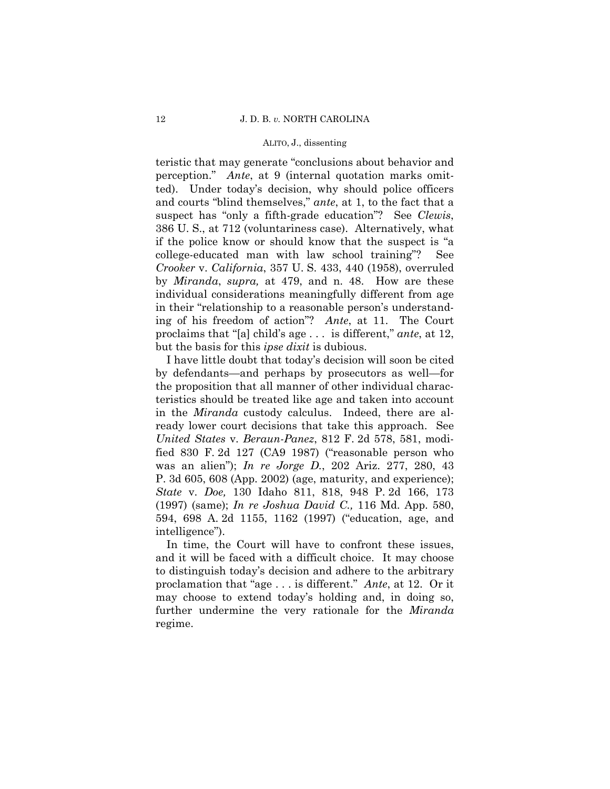teristic that may generate "conclusions about behavior and perception." *Ante*, at 9 (internal quotation marks omitted). Under today's decision, why should police officers and courts "blind themselves," *ante*, at 1, to the fact that a suspect has "only a fifth-grade education"? See *Clewis*, 386 U. S., at 712 (voluntariness case). Alternatively, what if the police know or should know that the suspect is "a college-educated man with law school training"? See *Crooker* v. *California*, 357 U. S. 433, 440 (1958), overruled by *Miranda*, *supra,* at 479, and n. 48. How are these individual considerations meaningfully different from age in their "relationship to a reasonable person's understanding of his freedom of action"? *Ante*, at 11. The Court proclaims that "[a] child's age . . . is different," *ante*, at 12, but the basis for this *ipse dixit* is dubious.

I have little doubt that today's decision will soon be cited by defendants—and perhaps by prosecutors as well—for the proposition that all manner of other individual characteristics should be treated like age and taken into account in the *Miranda* custody calculus. Indeed, there are already lower court decisions that take this approach. See *United States* v. *Beraun-Panez*, 812 F. 2d 578, 581, modified 830 F. 2d 127 (CA9 1987) ("reasonable person who was an alien"); *In re Jorge D.*, 202 Ariz. 277, 280, 43 P. 3d 605, 608 (App. 2002) (age, maturity, and experience); *State* v. *Doe,* 130 Idaho 811, 818, 948 P. 2d 166, 173 (1997) (same); *In re Joshua David C.,* 116 Md. App. 580, 594, 698 A. 2d 1155, 1162 (1997) ("education, age, and intelligence").

In time, the Court will have to confront these issues, and it will be faced with a difficult choice. It may choose to distinguish today's decision and adhere to the arbitrary proclamation that "age . . . is different." *Ante*, at 12. Or it may choose to extend today's holding and, in doing so, further undermine the very rationale for the *Miranda*  regime.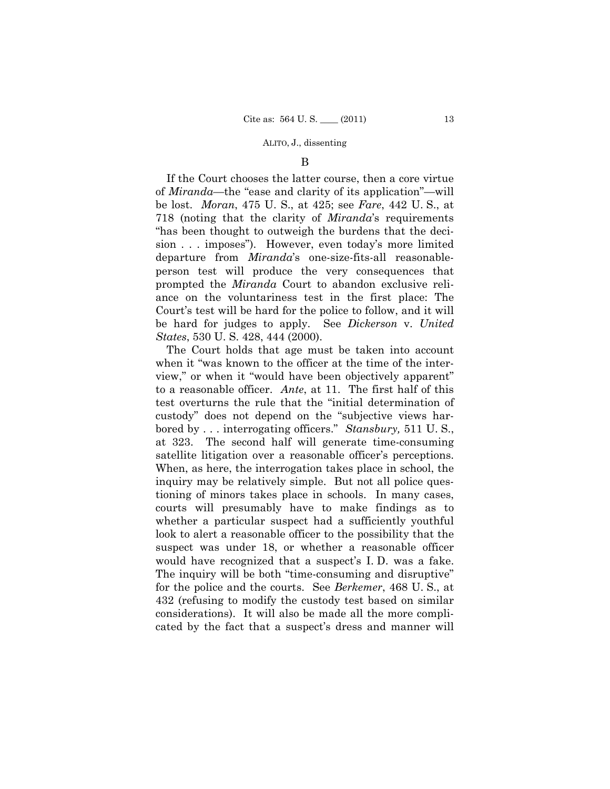# B

If the Court chooses the latter course, then a core virtue of *Miranda*—the "ease and clarity of its application"—will be lost. *Moran*, 475 U. S., at 425; see *Fare*, 442 U. S., at 718 (noting that the clarity of *Miranda*'s requirements "has been thought to outweigh the burdens that the decision . . . imposes"). However, even today's more limited departure from *Miranda*'s one-size-fits-all reasonableperson test will produce the very consequences that prompted the *Miranda* Court to abandon exclusive reliance on the voluntariness test in the first place: The Court's test will be hard for the police to follow, and it will be hard for judges to apply. See *Dickerson* v. *United States*, 530 U. S. 428, 444 (2000).

The Court holds that age must be taken into account when it "was known to the officer at the time of the interview," or when it "would have been objectively apparent" to a reasonable officer. *Ante*, at 11. The first half of this test overturns the rule that the "initial determination of custody" does not depend on the "subjective views harbored by . . . interrogating officers." *Stansbury,* 511 U. S., at 323. The second half will generate time-consuming satellite litigation over a reasonable officer's perceptions. When, as here, the interrogation takes place in school, the inquiry may be relatively simple. But not all police questioning of minors takes place in schools. In many cases, courts will presumably have to make findings as to whether a particular suspect had a sufficiently youthful look to alert a reasonable officer to the possibility that the suspect was under 18, or whether a reasonable officer would have recognized that a suspect's I. D. was a fake. The inquiry will be both "time-consuming and disruptive" for the police and the courts. See *Berkemer*, 468 U. S., at 432 (refusing to modify the custody test based on similar considerations). It will also be made all the more complicated by the fact that a suspect's dress and manner will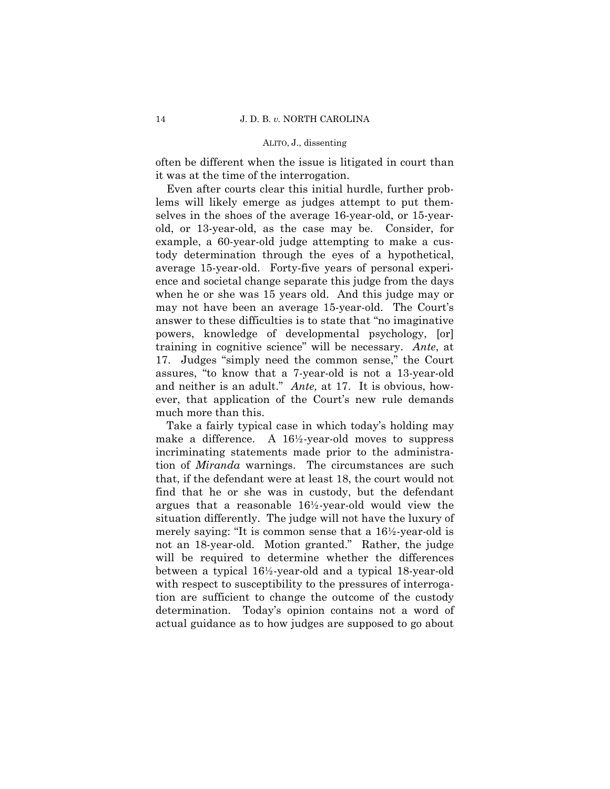often be different when the issue is litigated in court than it was at the time of the interrogation.

Even after courts clear this initial hurdle, further problems will likely emerge as judges attempt to put themselves in the shoes of the average 16-year-old, or 15-yearold, or 13-year-old, as the case may be. Consider, for example, a 60-year-old judge attempting to make a custody determination through the eyes of a hypothetical, average 15-year-old. Forty-five years of personal experience and societal change separate this judge from the days when he or she was 15 years old. And this judge may or may not have been an average 15-year-old. The Court's answer to these difficulties is to state that "no imaginative powers, knowledge of developmental psychology, [or] training in cognitive science" will be necessary. *Ante*, at 17. Judges "simply need the common sense," the Court assures, "to know that a 7-year-old is not a 13-year-old and neither is an adult." *Ante,* at 17. It is obvious, however, that application of the Court's new rule demands much more than this.

Take a fairly typical case in which today's holding may make a difference. A 16½-year-old moves to suppress incriminating statements made prior to the administration of *Miranda* warnings. The circumstances are such that, if the defendant were at least 18, the court would not find that he or she was in custody, but the defendant argues that a reasonable 16½-year-old would view the situation differently. The judge will not have the luxury of merely saying: "It is common sense that a 16½-year-old is not an 18-year-old. Motion granted." Rather, the judge will be required to determine whether the differences between a typical 16½-year-old and a typical 18-year-old with respect to susceptibility to the pressures of interrogation are sufficient to change the outcome of the custody determination. Today's opinion contains not a word of actual guidance as to how judges are supposed to go about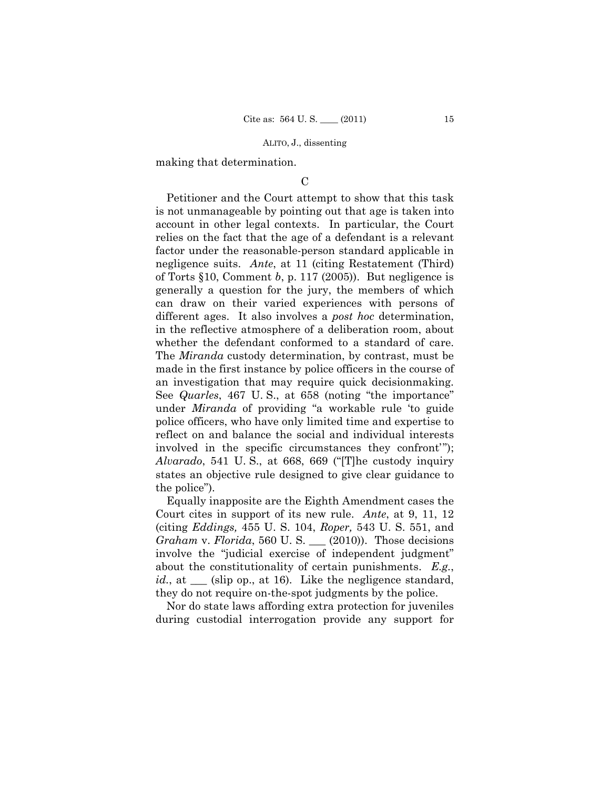making that determination.

# $\mathcal{C}$

Petitioner and the Court attempt to show that this task is not unmanageable by pointing out that age is taken into account in other legal contexts. In particular, the Court relies on the fact that the age of a defendant is a relevant factor under the reasonable-person standard applicable in negligence suits. *Ante*, at 11 (citing Restatement (Third) of Torts  $\S 10$ , Comment *b*, p. 117 (2005)). But negligence is generally a question for the jury, the members of which can draw on their varied experiences with persons of different ages. It also involves a *post hoc* determination, in the reflective atmosphere of a deliberation room, about whether the defendant conformed to a standard of care. The *Miranda* custody determination, by contrast, must be made in the first instance by police officers in the course of an investigation that may require quick decisionmaking. See *Quarles*, 467 U. S., at 658 (noting "the importance" under *Miranda* of providing "a workable rule 'to guide police officers, who have only limited time and expertise to reflect on and balance the social and individual interests involved in the specific circumstances they confront'"); *Alvarado*, 541 U. S., at 668, 669 ("[T]he custody inquiry states an objective rule designed to give clear guidance to the police").

Equally inapposite are the Eighth Amendment cases the Court cites in support of its new rule. *Ante*, at 9, 11, 12 (citing *Eddings,* 455 U. S. 104, *Roper,* 543 U. S. 551, and *Graham* v. *Florida*, 560 U. S. \_\_\_ (2010)). Those decisions involve the "judicial exercise of independent judgment" about the constitutionality of certain punishments. *E.g.*, *id.*, at \_\_\_ (slip op., at 16). Like the negligence standard, they do not require on-the-spot judgments by the police.

Nor do state laws affording extra protection for juveniles during custodial interrogation provide any support for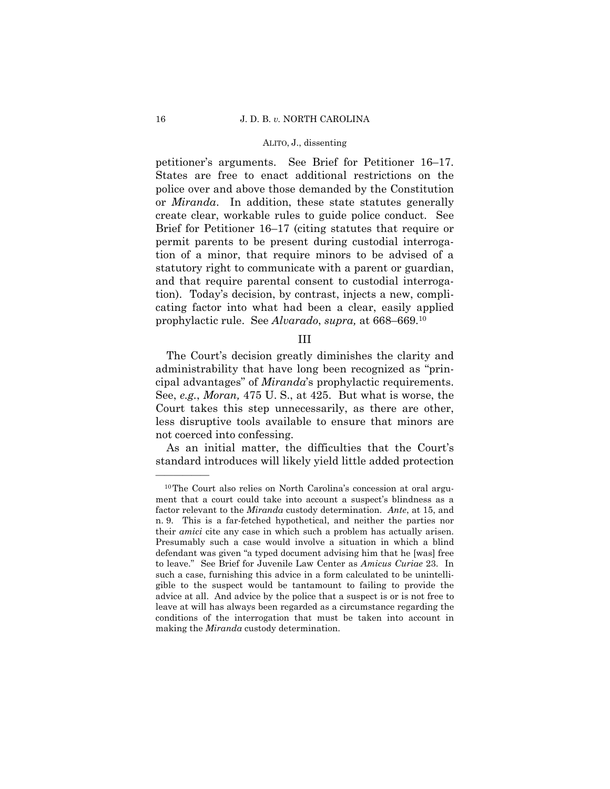petitioner's arguments. See Brief for Petitioner 16–17. States are free to enact additional restrictions on the police over and above those demanded by the Constitution or *Miranda*. In addition, these state statutes generally create clear, workable rules to guide police conduct. See Brief for Petitioner 16–17 (citing statutes that require or permit parents to be present during custodial interrogation of a minor, that require minors to be advised of a statutory right to communicate with a parent or guardian, and that require parental consent to custodial interrogation). Today's decision, by contrast, injects a new, complicating factor into what had been a clear, easily applied prophylactic rule. See *Alvarado*, *supra,* at 668–669.10

# III

The Court's decision greatly diminishes the clarity and administrability that have long been recognized as "principal advantages" of *Miranda*'s prophylactic requirements. See, *e.g.*, *Moran,* 475 U. S., at 425. But what is worse, the Court takes this step unnecessarily, as there are other, less disruptive tools available to ensure that minors are not coerced into confessing.

As an initial matter, the difficulties that the Court's standard introduces will likely yield little added protection

<sup>10</sup>The Court also relies on North Carolina's concession at oral argument that a court could take into account a suspect's blindness as a factor relevant to the *Miranda* custody determination. *Ante*, at 15, and n. 9. This is a far-fetched hypothetical, and neither the parties nor their *amici* cite any case in which such a problem has actually arisen. Presumably such a case would involve a situation in which a blind defendant was given "a typed document advising him that he [was] free to leave." See Brief for Juvenile Law Center as *Amicus Curiae* 23. In such a case, furnishing this advice in a form calculated to be unintelligible to the suspect would be tantamount to failing to provide the advice at all. And advice by the police that a suspect is or is not free to leave at will has always been regarded as a circumstance regarding the conditions of the interrogation that must be taken into account in making the *Miranda* custody determination.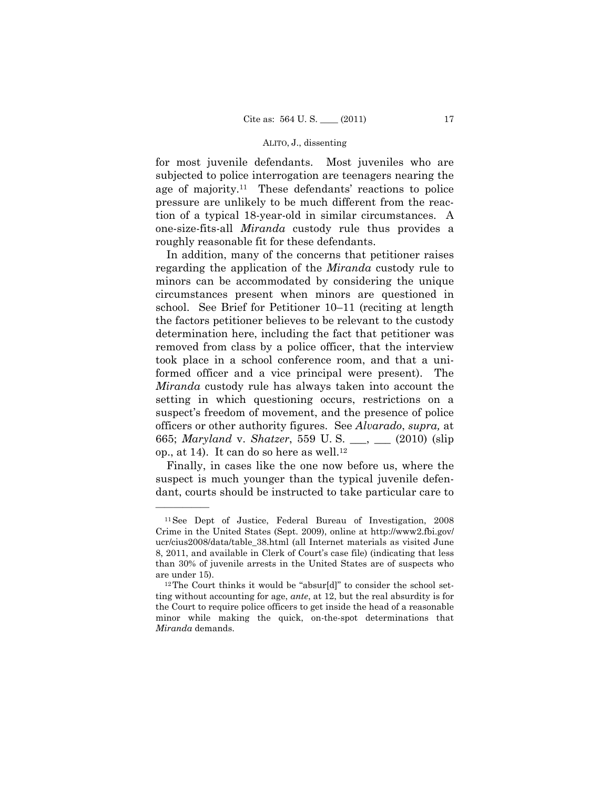for most juvenile defendants. Most juveniles who are subjected to police interrogation are teenagers nearing the age of majority.11 These defendants' reactions to police pressure are unlikely to be much different from the reaction of a typical 18-year-old in similar circumstances. A one-size-fits-all *Miranda* custody rule thus provides a roughly reasonable fit for these defendants.

In addition, many of the concerns that petitioner raises regarding the application of the *Miranda* custody rule to minors can be accommodated by considering the unique circumstances present when minors are questioned in school. See Brief for Petitioner 10–11 (reciting at length the factors petitioner believes to be relevant to the custody determination here, including the fact that petitioner was removed from class by a police officer, that the interview took place in a school conference room, and that a uniformed officer and a vice principal were present). The *Miranda* custody rule has always taken into account the setting in which questioning occurs, restrictions on a suspect's freedom of movement, and the presence of police officers or other authority figures. See *Alvarado*, *supra,* at 665; *Maryland* v. *Shatzer*, 559 U. S. \_\_\_, \_\_\_ (2010) (slip op., at 14). It can do so here as well.<sup>12</sup>

Finally, in cases like the one now before us, where the suspect is much younger than the typical juvenile defendant, courts should be instructed to take particular care to

<sup>11</sup>See Dept of Justice, Federal Bureau of Investigation, 2008 Crime in the United States (Sept. 2009), online at http://www2.fbi.gov/ ucr/cius2008/data/table\_38.html (all Internet materials as visited June 8, 2011, and available in Clerk of Court's case file) (indicating that less than 30% of juvenile arrests in the United States are of suspects who are under 15).<br><sup>12</sup>The Court thinks it would be "absur[d]" to consider the school set-

ting without accounting for age, *ante*, at 12, but the real absurdity is for the Court to require police officers to get inside the head of a reasonable minor while making the quick, on-the-spot determinations that *Miranda* demands.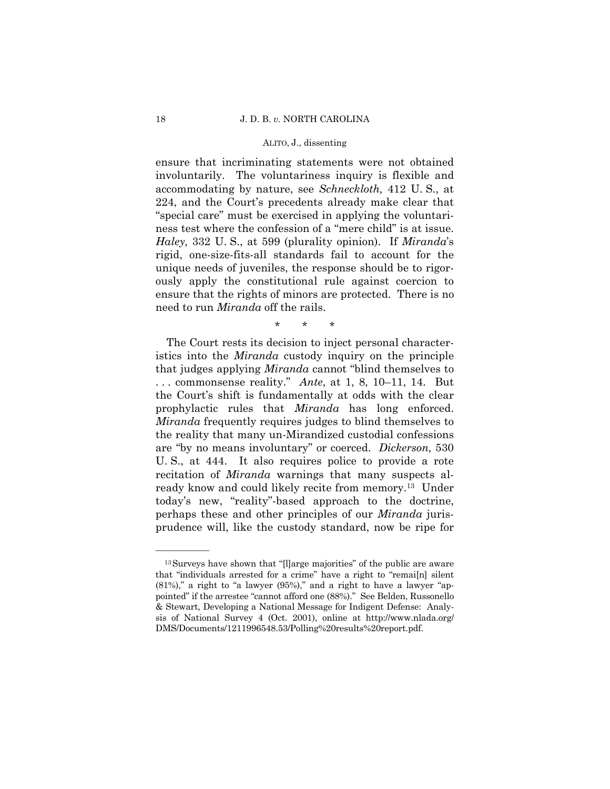ensure that incriminating statements were not obtained involuntarily. The voluntariness inquiry is flexible and accommodating by nature, see *Schneckloth,* 412 U. S., at 224, and the Court's precedents already make clear that "special care" must be exercised in applying the voluntariness test where the confession of a "mere child" is at issue. *Haley,* 332 U. S., at 599 (plurality opinion). If *Miranda*'s rigid, one-size-fits-all standards fail to account for the unique needs of juveniles, the response should be to rigorously apply the constitutional rule against coercion to ensure that the rights of minors are protected. There is no need to run *Miranda* off the rails.

\* \* \*

The Court rests its decision to inject personal characteristics into the *Miranda* custody inquiry on the principle that judges applying *Miranda* cannot "blind themselves to . . . commonsense reality." *Ante*, at 1, 8, 10–11, 14. But the Court's shift is fundamentally at odds with the clear prophylactic rules that *Miranda* has long enforced. *Miranda* frequently requires judges to blind themselves to the reality that many un-Mirandized custodial confessions are "by no means involuntary" or coerced. *Dickerson,* 530 U. S., at 444. It also requires police to provide a rote recitation of *Miranda* warnings that many suspects already know and could likely recite from memory.13 Under today's new, "reality"-based approach to the doctrine, perhaps these and other principles of our *Miranda* jurisprudence will, like the custody standard, now be ripe for

<sup>&</sup>lt;sup>13</sup> Surveys have shown that "[l]arge majorities" of the public are aware that "individuals arrested for a crime" have a right to "remai[n] silent  $(81\%)$ ," a right to "a lawyer  $(95\%)$ ," and a right to have a lawyer "appointed" if the arrestee "cannot afford one (88%)." See Belden, Russonello & Stewart, Developing a National Message for Indigent Defense: Analysis of National Survey 4 (Oct. 2001), online at http://www.nlada.org/ DMS/Documents/1211996548.53/Polling%20results%20report.pdf.